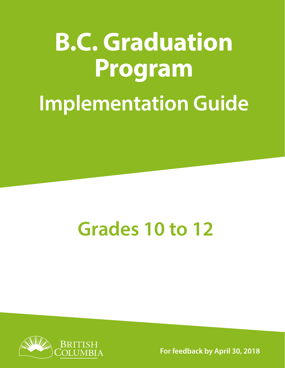# **B.C. Graduation Program Implementation Guide**

# **Grades 10 to 12**



**For feedback by April 30, 2018**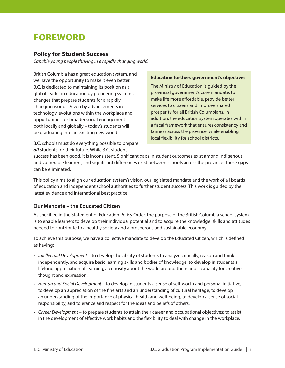# <span id="page-2-0"></span>**FOREWORD**

#### **Policy for Student Success**

*Capable young people thriving in a rapidly changing world.*

British Columbia has a great education system, and we have the opportunity to make it even better. B.C. is dedicated to maintaining its position as a global leader in education by pioneering systemic changes that prepare students for a rapidly changing world. Driven by advancements in technology, evolutions within the workplace and opportunities for broader social engagement – both locally and globally – today's students will be graduating into an exciting new world.

B.C. schools must do everything possible to prepare *all* students for their future. While B.C. student

#### **Education furthers government's objectives**

The Ministry of Education is guided by the provincial government's core mandate, to make life more affordable, provide better services to citizens and improve shared prosperity for all British Columbians. In addition, the education system operates within a fiscal framework that ensures consistency and fairness across the province, while enabling local flexibility for school districts.

success has been good, it is inconsistent. Significant gaps in student outcomes exist among Indigenous and vulnerable learners, and significant differences exist between schools across the province. These gaps can be eliminated.

This policy aims to align our education system's vision, our legislated mandate and the work of all boards of education and independent school authorities to further student success. This work is guided by the latest evidence and international best practice.

#### **Our Mandate – the Educated Citizen**

As specified in the Statement of Education Policy Order, the purpose of the British Columbia school system is to enable learners to develop their individual potential and to acquire the knowledge, skills and attitudes needed to contribute to a healthy society and a prosperous and sustainable economy.

To achieve this purpose, we have a collective mandate to develop the Educated Citizen, which is defined as having:

- *Intellectual Development* to develop the ability of students to analyze critically, reason and think independently, and acquire basic learning skills and bodies of knowledge; to develop in students a lifelong appreciation of learning, a curiosity about the world around them and a capacity for creative thought and expression.
- *Human and Social Development*  to develop in students a sense of self-worth and personal initiative; to develop an appreciation of the fine arts and an understanding of cultural heritage; to develop an understanding of the importance of physical health and well-being; to develop a sense of social responsibility, and tolerance and respect for the ideas and beliefs of others.
- *Career Development* to prepare students to attain their career and occupational objectives; to assist in the development of effective work habits and the flexibility to deal with change in the workplace.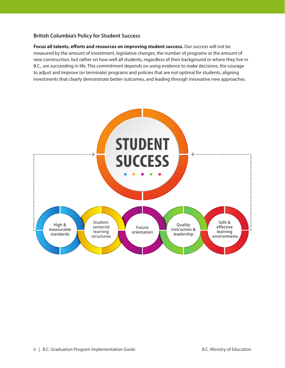#### **British Columbia's Policy for Student Success**

**Focus all talents, efforts and resources on improving student success.** Our success will not be measured by the amount of investment, legislative changes, the number of programs or the amount of new construction, but rather on how well all students, regardless of their background or where they live in B.C., are succeeding in life. This commitment depends on using evidence to make decisions, the courage to adjust and improve (or terminate) programs and policies that are not optimal for students, aligning investments that clearly demonstrate better outcomes, and leading through innovative new approaches.

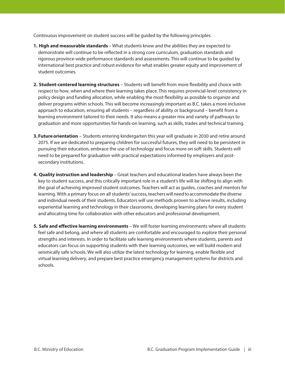Continuous improvement on student success will be guided by the following principles:

- **1. High and measurable standards** What students know and the abilities they are expected to demonstrate will continue to be reflected in a strong core curriculum, graduation standards and rigorous province-wide performance standards and assessments. This will continue to be guided by international best practice and robust evidence for what enables greater equity and improvement of student outcomes.
- **2. Student-centered learning structures** Students will benefit from more flexibility and choice with respect to how, when and where their learning takes place. This requires provincial-level consistency in policy design and funding allocation, while enabling the most flexibility as possible to organize and deliver programs within schools. This will become increasingly important as B.C. takes a more inclusive approach to education, ensuring all students – regardless of ability or background – benefit from a learning environment tailored to their needs. It also means a greater mix and variety of pathways to graduation and more opportunities for hands-on learning, such as skills, trades and technical training.
- **3. Future orientation** Students entering kindergarten this year will graduate in 2030 and retire around 2075. If we are dedicated to preparing children for successful futures, they will need to be persistent in pursuing their education, embrace the use of technology and focus more on soft skills. Students will need to be prepared for graduation with practical expectations informed by employers and postsecondary institutions.
- **4. Quality instruction and leadership** Great teachers and educational leaders have always been the key to student success, and this critically important role in a student's life will be shifting to align with the goal of achieving improved student outcomes. Teachers will act as guides, coaches and mentors for learning. With a primary focus on all students' success, teachers will need to accommodate the diverse and individual needs of their students. Educators will use methods proven to achieve results, including experiential learning and technology in their classrooms, developing learning plans for every student and allocating time for collaboration with other educators and professional development.
- **5. Safe and effective learning environments** We will foster learning environments where all students feel safe and belong, and where all students are comfortable and encouraged to explore their personal strengths and interests. In order to facilitate safe learning environments where students, parents and educators can focus on supporting students with their learning outcomes, we will build modern and seismically safe schools. We will also utilize the latest technology for learning, enable flexible and virtual learning delivery, and prepare best practice emergency management systems for districts and schools.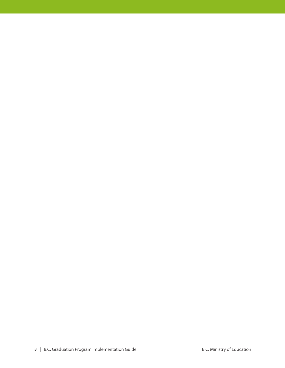#### iv | B.C. Graduation Program Implementation Guide B.C. Ministry of Education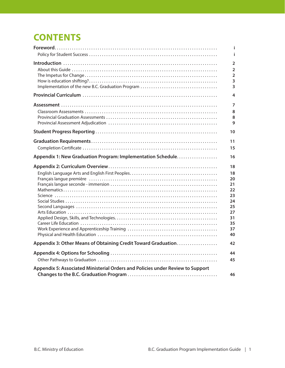# **CONTENTS**

|                                                                                | i.             |
|--------------------------------------------------------------------------------|----------------|
|                                                                                | j.             |
|                                                                                | $\overline{2}$ |
|                                                                                | $\overline{2}$ |
|                                                                                | $\overline{2}$ |
|                                                                                | 3              |
|                                                                                | 3              |
|                                                                                | 4              |
|                                                                                | $\overline{7}$ |
|                                                                                | 8              |
|                                                                                | 8              |
|                                                                                | 9              |
|                                                                                | 10             |
|                                                                                | 11             |
|                                                                                | 15             |
| Appendix 1: New Graduation Program: Implementation Schedule                    | 16             |
|                                                                                | 18             |
|                                                                                | 18             |
|                                                                                | 20             |
|                                                                                | 21             |
|                                                                                | 22             |
|                                                                                | 23             |
|                                                                                | 24             |
|                                                                                | 25             |
|                                                                                | 27             |
|                                                                                | 31             |
|                                                                                | 35             |
|                                                                                | 37             |
|                                                                                | 40             |
| Appendix 3: Other Means of Obtaining Credit Toward Graduation                  | 42             |
|                                                                                | 44             |
|                                                                                | 45             |
| Appendix 5: Associated Ministerial Orders and Policies under Review to Support | 46             |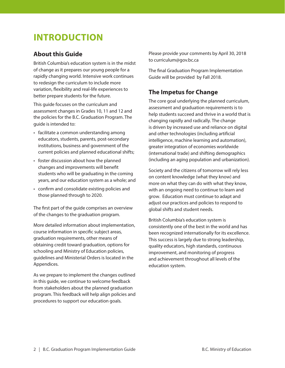# <span id="page-7-0"></span>**INTRODUCTION**

# **About this Guide**

British Columbia's education system is in the midst of change as it prepares our young people for a rapidly changing world. Intensive work continues to redesign the curriculum to include more variation, flexibility and real-life experiences to better prepare students for the future.

This guide focuses on the curriculum and assessment changes in Grades 10, 11 and 12 and the policies for the B.C. Graduation Program. The guide is intended to:

- facilitate a common understanding among educators, students, parents, post-secondary institutions, business and government of the current policies and planned educational shifts;
- foster discussion about how the planned changes and improvements will benefit students who will be graduating in the coming years, and our education system as a whole; and
- confirm and consolidate existing policies and those planned through to 2020.

The first part of the guide comprises an overview of the changes to the graduation program.

More detailed information about implementation, course information in specific subject areas, graduation requirements, other means of obtaining credit toward graduation, options for schooling and Ministry of Education policies, guidelines and Ministerial Orders is located in the Appendices.

As we prepare to implement the changes outlined in this guide, we continue to welcome feedback from stakeholders about the planned graduation program. This feedback will help align policies and procedures to support our education goals.

Please provide your comments by April 30, 2018 to curriculum@gov.bc.ca

The final Graduation Program Implementation Guide will be provided by Fall 2018.

# **The Impetus for Change**

The core goal underlying the planned curriculum, assessment and graduation requirements is to help students succeed and thrive in a world that is changing rapidly and radically. The change is driven by increased use and reliance on digital and other technologies (including artificial intelligence, machine learning and automation), greater integration of economies worldwide (international trade) and shifting demographics (including an aging population and urbanization).

Society and the citizens of tomorrow will rely less on content knowledge (what they know) and more on what they can do with what they know, with an ongoing need to continue to learn and grow. Education must continue to adapt and adjust our practices and policies to respond to global shifts and student needs.

British Columbia's education system is consistently one of the best in the world and has been recognized internationally for its excellence. This success is largely due to strong leadership, quality educators, high standards, continuous improvement, and monitoring of progress and achievement throughout all levels of the education system.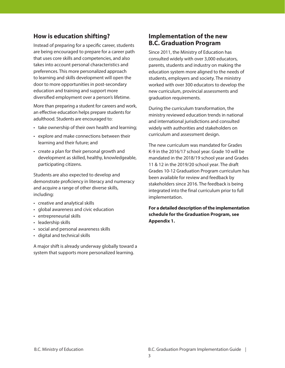## <span id="page-8-0"></span>**How is education shifting?**

Instead of preparing for a specific career, students are being encouraged to prepare for a career path that uses core skills and competencies, and also takes into account personal characteristics and preferences. This more personalized approach to learning and skills development will open the door to more opportunities in post-secondary education and training and support more diversified employment over a person's lifetime.

More than preparing a student for careers and work, an effective education helps prepare students for adulthood. Students are encouraged to:

- take ownership of their own health and learning;
- explore and make connections between their learning and their future; and
- create a plan for their personal growth and development as skilled, healthy, knowledgeable, participating citizens.

Students are also expected to develop and demonstrate proficiency in literacy and numeracy and acquire a range of other diverse skills, including:

- creative and analytical skills
- global awareness and civic education
- entrepreneurial skills
- leadership skills
- social and personal awareness skills
- digital and technical skills

A major shift is already underway globally toward a system that supports more personalized learning.

### **Implementation of the new B.C. Graduation Program**

Since 2011, the Ministry of Education has consulted widely with over 3,000 educators, parents, students and industry on making the education system more aligned to the needs of students, employers and society. The ministry worked with over 300 educators to develop the new curriculum, provincial assessments and graduation requirements.

During the curriculum transformation, the ministry reviewed education trends in national and international jurisdictions and consulted widely with authorities and stakeholders on curriculum and assessment design.

The new curriculum was mandated for Grades K-9 in the 2016/17 school year. Grade 10 will be mandated in the 2018/19 school year and Grades 11 & 12 in the 2019/20 school year. The draft Grades 10-12 Graduation Program curriculum has been available for review and feedback by stakeholders since 2016. The feedback is being integrated into the final curriculum prior to full implementation.

**For a detailed description of the implementation schedule for the Graduation Program, see Appendix 1.**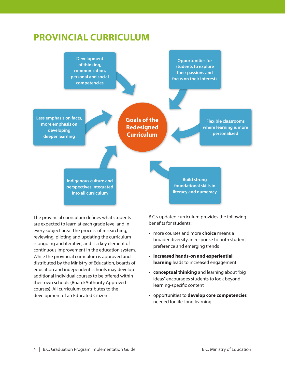# <span id="page-9-0"></span>**PROVINCIAL CURRICULUM**

**Development of thinking, communication, personal and social competencies Less emphasis on facts, more emphasis on developing deeper learning Indigenous culture and perspectives integrated into all curriculum Opportunities for students to explore their passions and focus on their interests Flexible classrooms where learning is more personalized Build strong foundational skills in literacy and numeracy Goals of the Redesigned Curriculum**

The provincial curriculum defines what students are expected to learn at each grade level and in every subject area. The process of researching, reviewing, piloting and updating the curriculum is ongoing and iterative, and is a key element of continuous improvement in the education system. While the provincial curriculum is approved and distributed by the Ministry of Education, boards of education and independent schools may develop additional individual courses to be offered within their own schools (Board/Authority Approved courses). All curriculum contributes to the development of an Educated Citizen.

B.C.'s updated curriculum provides the following benefits for students:

- more courses and more **choice** means a broader diversity, in response to both student preference and emerging trends
- **increased hands-on and experiential learning** leads to increased engagement
- **conceptual thinking** and learning about "big ideas" encourages students to look beyond learning-specific content
- opportunities to **develop core competencies** needed for life-long learning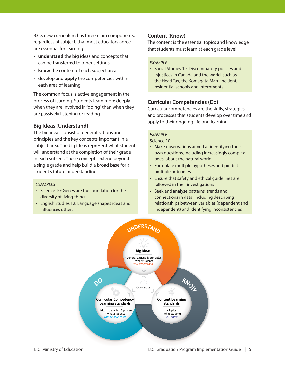B.C.'s new curriculum has three main components, regardless of subject, that most educators agree are essential for learning:

- **understand** the big ideas and concepts that can be transferred to other settings
- **know** the content of each subject areas
- develop and **apply** the competencies within each area of learning

The common focus is active engagement in the process of learning. Students learn more deeply when they are involved in "doing" than when they are passively listening or reading.

#### **Big Ideas (Understand)**

The big ideas consist of generalizations and principles and the key concepts important in a subject area. The big ideas represent what students will understand at the completion of their grade in each subject. These concepts extend beyond a single grade and help build a broad base for a student's future understanding.

#### *EXAMPLES*

- Science 10: Genes are the foundation for the diversity of living things
- English Studies 12: Language shapes ideas and influences others

#### **Content (Know)**

The content is the essential topics and knowledge that students must learn at each grade level.

#### *EXAMPLE*

• Social Studies 10: Discriminatory policies and injustices in Canada and the world, such as the Head Tax, the Komagata Maru incident, residential schools and internments

#### **Curricular Competencies (Do)**

Curricular competencies are the skills, strategies and processes that students develop over time and apply to their ongoing lifelong learning.

#### *EXAMPLE*

Science 10:

- Make observations aimed at identifying their own questions, including increasingly complex ones, about the natural world
- Formulate multiple hypotheses and predict multiple outcomes
- Ensure that safety and ethical guidelines are followed in their investigations
- Seek and analyze patterns, trends and connections in data, including describing relationships between variables (dependent and independent) and identifying inconsistencies

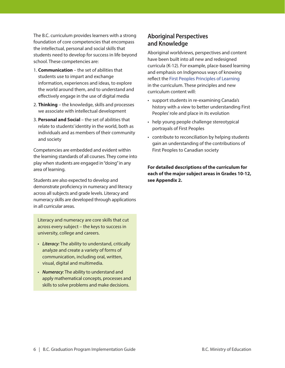The B.C. curriculum provides learners with a strong foundation of core competencies that encompass the intellectual, personal and social skills that students need to develop for success in life beyond school. These competencies are:

- 1. **Communication**  the set of abilities that students use to impart and exchange information, experiences and ideas, to explore the world around them, and to understand and effectively engage in the use of digital media
- 2. **Thinking** the knowledge, skills and processes we associate with intellectual development
- 3. **Personal and Social**  the set of abilities that relate to students' identity in the world, both as individuals and as members of their community and society

Competencies are embedded and evident within the learning standards of all courses. They come into play when students are engaged in "doing" in any area of learning.

Students are also expected to develop and demonstrate proficiency in numeracy and literacy across all subjects and grade levels. Literacy and numeracy skills are developed through applications in all curricular areas.

Literacy and numeracy are core skills that cut across every subject – the keys to success in university, college and careers.

- *Literacy:* The ability to understand, critically analyze and create a variety of forms of communication, including oral, written, visual, digital and multimedia.
- *Numeracy:* The ability to understand and apply mathematical concepts, processes and skills to solve problems and make decisions.

# **Aboriginal Perspectives and Knowledge**

Aboriginal worldviews, perspectives and content have been built into all new and redesigned curricula (K-12). For example, place-based learning and emphasis on Indigenous ways of knowing reflect the [First Peoples Principles of Learning](https://www2.gov.bc.ca/assets/gov/education/kindergarten-to-grade-12/teach/teaching-tools/aboriginal-education/principles_of_learning.pdf) in the curriculum. These principles and new curriculum content will:

- support students in re-examining Canada's history with a view to better understanding First Peoples' role and place in its evolution
- help young people challenge stereotypical portrayals of First Peoples
- contribute to reconciliation by helping students gain an understanding of the contributions of First Peoples to Canadian society

#### **For detailed descriptions of the curriculum for each of the major subject areas in Grades 10-12, see Appendix 2.**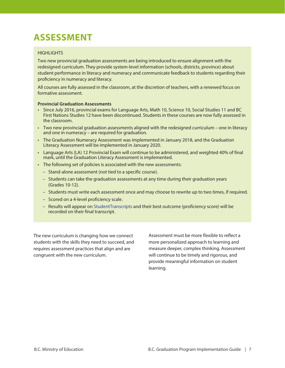# <span id="page-12-0"></span>**ASSESSMENT**

#### HIGHI IGHTS

Two new provincial graduation assessments are being introduced to ensure alignment with the redesigned curriculum. They provide system-level information (schools, districts, province) about student performance in literacy and numeracy and communicate feedback to students regarding their proficiency in numeracy and literacy.

All courses are fully assessed in the classroom, at the discretion of teachers, with a renewed focus on formative assessment.

#### **Provincial Graduation Assessments**

- Since July 2016, provincial exams for Language Arts, Math 10, Science 10, Social Studies 11 and BC First Nations Studies 12 have been discontinued. Students in these courses are now fully assessed in the classroom.
- Two new provincial graduation assessments aligned with the redesigned curriculum one in literacy and one in numeracy – are required for graduation.
- The Graduation Numeracy Assessment was implemented in January 2018, and the Graduation Literacy Assessment will be implemented in January 2020.
- Language Arts (LA) 12 Provincial Exam will continue to be administered, and weighted 40% of final mark, until the Graduation Literacy Assessment is implemented.
- The following set of policies [eassociated with the new assessments:
	- Stand-alone assessment (not tied to a specific course).
	- Students can take the graduation assessments at any time during their graduation years (Grades 10-12).
	- Students must write each assessment once and may choose to rewrite up to two times, if required.
	- Scored on a 4-level proficiency scale.
	- Results will appear on StudentTranscripts and their best outcome (proficiency score) will be recorded on their final transcript.

The new curriculum is changing how we connect students with the skills they need to succeed, and requires assessment practices that align and are congruent with the new curriculum.

Assessment must be more flexible to reflect a more personalized approach to learning and measure deeper, complex thinking. Assessment will continue to be timely and rigorous, and provide meaningful information on student learning.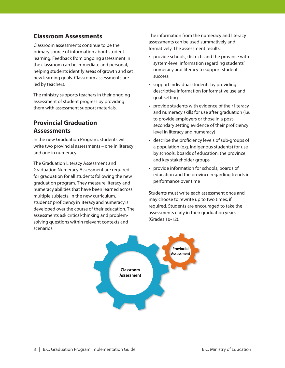# <span id="page-13-0"></span>**Classroom Assessments**

Classroom assessments continue to be the primary source of information about student learning. Feedback from ongoing assessment in the classroom can be immediate and personal, helping students identify areas of growth and set new learning goals. Classroom assessments are led by teachers.

The ministry supports teachers in their ongoing assessment of student progress by providing them with assessment support materials.

# **Provincial Graduation Assessments**

In the new Graduation Program, students will write two provincial assessments – one in literacy and one in numeracy.

The Graduation Literacy Assessment and Graduation Numeracy Assessment are required for graduation for all students following the new graduation program. They measure literacy and numeracy abilities that have been learned across multiple subjects. In the new curriculum, students' proficiency in literacy and numeracy is developed over the course of their education. The assessments ask critical-thinking and problemsolving questions within relevant contexts and scenarios.

The information from the numeracy and literacy assessments can be used summatively and formatively. The assessment results:

- provide schools, districts and the province with system-level information regarding students' numeracy and literacy to support student success
- support individual students by providing descriptive information for formative use and goal-setting
- provide students with evidence of their literacy and numeracy skills for use after graduation (i.e. to provide employers or those in a postsecondary setting evidence of their proficiency level in literacy and numeracy)
- describe the proficiency levels of sub-groups of a population (e.g. Indigenous students) for use by schools, boards of education, the province and key stakeholder groups
- provide information for schools, boards of education and the province regarding trends in performance over time

Students must write each assessment once and may choose to rewrite up to two times, if required. Students are encouraged to take the assessments early in their graduation years (Grades 10-12).

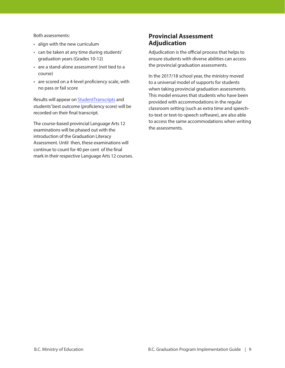<span id="page-14-0"></span>Both assessments:

- align with the new curriculum
- can be taken at any time during students' graduation years (Grades 10-12)
- are a stand-alone assessment (not tied to a course)
- are scored on a 4-level proficiency scale, with no pass or fail score

Results will appear on StudentT[ranscripts](www.studenttranscripts.gov.bc.ca) and students'best outcome (proficiency score) will be recorded on their final transcript.

The course-based provincial Language Arts 12 examinations will be phased out with the introduction of the Graduation Literacy Assessment. Until then, these examinations will continue to count for 40 per cent of the final mark in their respective Language Arts 12 courses.

### **Provincial Assessment Adjudication**

Adjudication is the official process that helps to ensure students with diverse abilities can access the provincial graduation assessments.

In the 2017/18 school year, the ministry moved to a universal model of supports for students when taking provincial graduation assessments. This model ensures that students who have been provided with accommodations in the regular classroom setting (such as extra time and speechto-text or text-to-speech software), are also able to access the same accommodations when writing the assessments.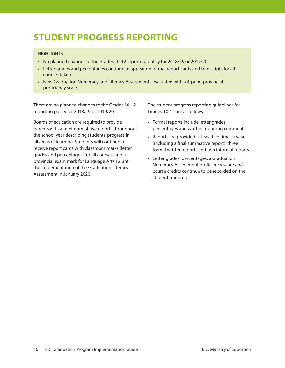# <span id="page-15-0"></span>**STUDENT PROGRESS REPORTING**

#### **HIGHLIGHTS**

- No planned changes to the Grades 10-12 reporting policy for 2018/19 or 2019/20.
- Letter grades and percentages continue to appear on formal report cards and transcripts for all courses taken.
- New Graduation Numeracy and Literacy Assessments evaluated with a 4-point provincial proficiency scale.

There are no planned changes to the Grades 10-12 reporting policy for 2018/19 or 2019/20.

Boards of education are required to provide parents with a minimum of five reports throughout the school year describing students' progress in all areas of learning. Students will continue to receive report cards with classroom marks (letter grades and percentages) for all courses, and a provincial exam mark for Language Arts 12 until the implementation of the Graduation Literacy Assessment in January 2020.

The student progress reporting guidelines for Grades 10-12 are as follows:

- Formal reports include letter grades, percentages and written reporting comments.
- Reports are provided at least five times a year (including a final summative report): three formal written reports and two informal reports.
- Letter grades, percentages, a Graduation Numeracy Assessment proficiency score and course credits continue to be recorded on the student transcript.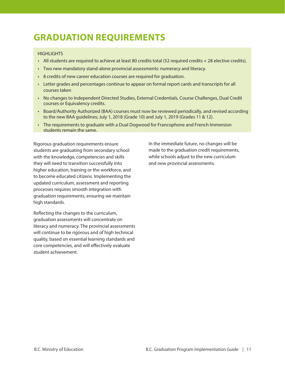# <span id="page-16-0"></span>**GRADUATION REQUIREMENTS**

#### **HIGHLIGHTS**

- All students are required to achieve Sf  $W\&f$  80 credits total (52 required credits + 28 elective credits).
- Two new mandatory stand-alone provincial assessments: numeracy and literacy.
- $\cdot$  8 credits of  $\check{W}$  career education courses are required for graduation.
- >VITVUYGSVVES V bVULW FSYVE Ua` f[gWfa SbbV&da` Xad\_S^d/Waaf USd/eS`V foS`eUqbfeXadS^^ UagdeWefS] W
- No changes to Independent Directed Studies, External Credentials, Course Challenges, Dual Credit courses or Equivalency credits.
- Board/Authority Authorized (BAA) courses must now be reviewed periodically, and revised according to the new BAA guidelines; July 1, 2018 (Grade 10) and July 1, 2019 (Grades 11 & 12).
- The requirements to graduate with a Dual Dogwood for Francophone and French Immersion students remain the same.

Rigorous graduation requirements ensure students are graduating from secondary school with the knowledge, competencies and skills they will need to transition successfully into higher education, training or the workforce, and to become educated citizens. Implementing the updated curriculum, assessment and reporting processes requires smooth integration with graduation requirements, ensuring we maintain high standards.

Reflecting the changes to the curriculum, graduation assessments will concentrate on literacy and numeracy. The provincial assessments will continue to be rigorous and of high technical quality, based on essential learning standards and core competencies, and will effectively evaluate student achievement.

In the immediate future, no changes will be made to the graduation credit requirements, while schools adjust to the new curriculum and new provincial assessments.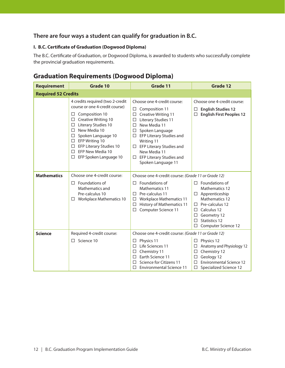### **There are four ways a student can qualify for graduation in B.C.**

#### **I. B.C. Certificate of Graduation (Dogwood Diploma)**

The B.C. Certificate of Graduation, or Dogwood Diploma, is awarded to students who successfully complete the provincial graduation requirements.

# **Graduation Requirements (Dogwood Diploma)**

| <b>Requirement</b>         | <b>Grade 10</b>                                                                                                                                                                                                                                                                                                                   | Grade 11                                                                                                                                                                                                                                                                                                                                | <b>Grade 12</b>                                                                                                                                                                                                              |
|----------------------------|-----------------------------------------------------------------------------------------------------------------------------------------------------------------------------------------------------------------------------------------------------------------------------------------------------------------------------------|-----------------------------------------------------------------------------------------------------------------------------------------------------------------------------------------------------------------------------------------------------------------------------------------------------------------------------------------|------------------------------------------------------------------------------------------------------------------------------------------------------------------------------------------------------------------------------|
| <b>Required 52 Credits</b> |                                                                                                                                                                                                                                                                                                                                   |                                                                                                                                                                                                                                                                                                                                         |                                                                                                                                                                                                                              |
|                            | 4 credits required (two 2-credit<br>course or one 4-credit course)<br>$\Box$ Composition 10<br>$\Box$ Creative Writing 10<br><b>Literary Studies 10</b><br>□<br>New Media 10<br>П<br>Spoken Language 10<br>□<br>$\Box$ EFP Writing 10<br>$\Box$ EFP Literary Studies 10<br>$\Box$ EFP New Media 10<br>EFP Spoken Language 10<br>□ | Choose one 4-credit course:<br>Composition 11<br>□<br><b>Creative Writing 11</b><br>□<br><b>Literary Studies 11</b><br>□<br>New Media 11<br>□<br>Spoken Language<br>□<br><b>EFP Literary Studies and</b><br>□<br>Writing 11<br>$\Box$ EFP Literary Studies and<br>New Media 11<br>$\Box$ EFP Literary Studies and<br>Spoken Language 11 | Choose one 4-credit course:<br><b>English Studies 12</b><br>□<br><b>English First Peoples 12</b>                                                                                                                             |
| <b>Mathematics</b>         | Choose one 4-credit course:<br>$\Box$ Foundations of<br>Mathematics and<br>Pre-calculus 10<br>$\Box$ Workplace Mathematics 10                                                                                                                                                                                                     | Choose one 4-credit course: (Grade 11 or Grade 12)<br>$\Box$ Foundations of<br><b>Mathematics 11</b><br>Pre-calculus 11<br>П.<br><b>Workplace Mathematics 11</b><br>ப<br><b>History of Mathematics 11</b><br>□<br>Computer Science 11<br>□                                                                                              | $\Box$ Foundations of<br><b>Mathematics 12</b><br>$\Box$ Apprenticeship<br>Mathematics 12<br>$\Box$ Pre-calculus 12<br>$\Box$ Calculus 12<br>Geometry 12<br>□.<br><b>Statistics 12</b><br>$\Box$<br>Computer Science 12<br>□ |
| <b>Science</b>             | Required 4-credit course:<br>Science 10<br>П.                                                                                                                                                                                                                                                                                     | Choose one 4-credit course: (Grade 11 or Grade 12)<br>Physics 11<br>⊔<br>Life Sciences 11<br>П<br>Chemistry 11<br>□<br>Earth Science 11<br>П<br>Science for Citizens 11<br>П<br><b>Environmental Science 11</b><br>□                                                                                                                    | $\Box$ Physics 12<br>Anatomy and Physiology 12<br>Chemistry 12<br>ப<br>Geology 12<br>□<br><b>Environmental Science 12</b><br>П<br>Specialized Science 12<br>□                                                                |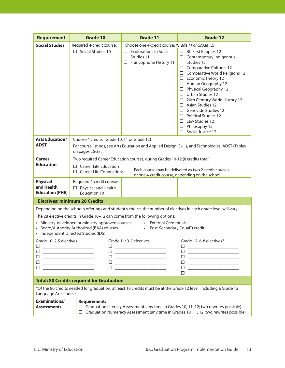| <b>Requirement</b>                                                                                                                                                                                                                                                                                                                                                                                                                    | Grade 10                                                                                                                                                                                                                                                                                                                                                                                             | Grade 11                                                                                                                           | <b>Grade 12</b>                                                                                                                                                                                                                                                                                                                                                                                                                                                                  |  |
|---------------------------------------------------------------------------------------------------------------------------------------------------------------------------------------------------------------------------------------------------------------------------------------------------------------------------------------------------------------------------------------------------------------------------------------|------------------------------------------------------------------------------------------------------------------------------------------------------------------------------------------------------------------------------------------------------------------------------------------------------------------------------------------------------------------------------------------------------|------------------------------------------------------------------------------------------------------------------------------------|----------------------------------------------------------------------------------------------------------------------------------------------------------------------------------------------------------------------------------------------------------------------------------------------------------------------------------------------------------------------------------------------------------------------------------------------------------------------------------|--|
| <b>Social Studies</b>                                                                                                                                                                                                                                                                                                                                                                                                                 | Required 4-credit course:<br>$\Box$ Social Studies 10                                                                                                                                                                                                                                                                                                                                                | Choose one 4-credit course: (Grade 11 or Grade 12)<br>$\Box$ Explorations in Social<br>Studies 11<br>$\Box$ Francophone History 11 | $\Box$ BC First Peoples 12<br>$\Box$ Contemporary Indigenous<br>Studies 12<br>$\Box$ Comparative Cultures 12<br>$\Box$ Comparative World Religions 12<br>$\Box$ Economic Theory 12<br>$\Box$ Human Geography 12<br>□ Physical Geography 12<br>$\Box$ Urban Studies 12<br>□ 20th Century World History 12<br>$\Box$ Asian Studies 12<br>$\Box$ Genocide Studies 12<br>$\Box$ Political Studies 12<br>$\Box$ Law Studies 12<br>$\square$ Philosophy 12<br>$\Box$ Social Justice 12 |  |
| <b>Arts Education/</b><br><b>ADST</b>                                                                                                                                                                                                                                                                                                                                                                                                 | Choose 4 credits: (Grade 10, 11 or Grade 12)<br>on pages 26-33.                                                                                                                                                                                                                                                                                                                                      |                                                                                                                                    | For course listings, see Arts Education and Applied Design, Skills, and Technologies (ADST) Tables                                                                                                                                                                                                                                                                                                                                                                               |  |
| Career<br><b>Education</b>                                                                                                                                                                                                                                                                                                                                                                                                            | Two required Career Education courses, during Grades 10-12 (8 credits total)<br><b>Career Life Education</b><br>$\Box$<br>Each course may be delivered as two 2-credit courses<br><b>Career Life Connections</b><br>□<br>or one 4-credit course, depending on the school.                                                                                                                            |                                                                                                                                    |                                                                                                                                                                                                                                                                                                                                                                                                                                                                                  |  |
| <b>Physical</b><br>and Health<br><b>Education (PHE)</b>                                                                                                                                                                                                                                                                                                                                                                               | Required 4-credit course:<br>$\Box$ Physical and Health<br><b>Education 10</b>                                                                                                                                                                                                                                                                                                                       |                                                                                                                                    |                                                                                                                                                                                                                                                                                                                                                                                                                                                                                  |  |
|                                                                                                                                                                                                                                                                                                                                                                                                                                       | <b>Electives: minimum 28 Credits</b>                                                                                                                                                                                                                                                                                                                                                                 |                                                                                                                                    |                                                                                                                                                                                                                                                                                                                                                                                                                                                                                  |  |
| Depending on the school's offerings and student's choice, the number of electives in each grade level will vary.<br>The 28 elective credits in Grade 10-12 can come from the following options:<br><b>External Credentials</b><br>• Ministry-developed or ministry-approved courses<br>$\bullet$<br>• Board/Authority Authorized (BAA) courses<br>Post-Secondary ("dual") credit<br>$\bullet$<br>• Independent Directed Studies (IDS) |                                                                                                                                                                                                                                                                                                                                                                                                      |                                                                                                                                    |                                                                                                                                                                                                                                                                                                                                                                                                                                                                                  |  |
| Grade 10: 2-5 electives<br>□<br>П<br>П<br>П<br>□                                                                                                                                                                                                                                                                                                                                                                                      | Grade 11: 3-5 electives<br>Grade 12: 6-8 electives*<br>□<br>□<br>$\Box$<br>□<br><u> 1980 - Jan Alexander Alexander (</u><br>$\Box$<br>□<br>$\Box$<br>□<br><u> 1980 - Andrea Andrew Maria Barat (</u><br>$\Box$<br>□<br><u> 1989 - Andrea Albert III, poet e provincia e a provincia e a provincia e a provincia e a provincia e a provi</u><br>the control of the control of the control of the<br>□ |                                                                                                                                    |                                                                                                                                                                                                                                                                                                                                                                                                                                                                                  |  |
| <b>Total: 80 Credits required for Graduation</b>                                                                                                                                                                                                                                                                                                                                                                                      |                                                                                                                                                                                                                                                                                                                                                                                                      |                                                                                                                                    |                                                                                                                                                                                                                                                                                                                                                                                                                                                                                  |  |
| *Of the 80 credits needed for graduation, at least 16 credits must be at the Grade 12 level, including a Grade 12<br>Language Arts course.                                                                                                                                                                                                                                                                                            |                                                                                                                                                                                                                                                                                                                                                                                                      |                                                                                                                                    |                                                                                                                                                                                                                                                                                                                                                                                                                                                                                  |  |
| <b>Examinations/</b><br><b>Assessments</b>                                                                                                                                                                                                                                                                                                                                                                                            | <b>Requirement:</b><br>$\Box$ Graduation Literacy Assessment (any time in Grades 10, 11, 12; two rewrites possible)<br>$\Box$ Graduation Numeracy Assessment (any time in Grades 10, 11, 12; two rewrites possible)                                                                                                                                                                                  |                                                                                                                                    |                                                                                                                                                                                                                                                                                                                                                                                                                                                                                  |  |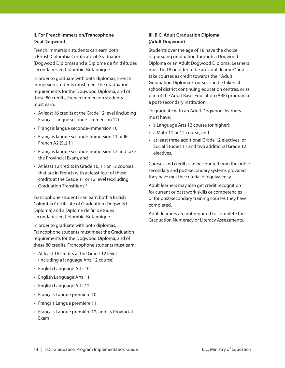#### **II. For French Immersion/Francophone Dual Dogwood**

French Immersion students can earn both a British Columbia Certificate of Graduation (Dogwood Diploma) and a Diplôme de fin d'études secondaires en Colombie-Britannique.

In order to graduate with both diplomas, French Immersion students must meet the graduation requirements for the Dogwood Diploma, and of these 80 credits, French Immersion students must earn:

- At least 16 credits at the Grade 12 level (including Français langue seconde - immersion 12)
- Français langue seconde-immersion 10
- Français langue seconde-immersion 11 or IB French A2 (SL) 11
- Français langue seconde-immersion 12 and take the Provincial Exam, and
- At least 12 credits in Grade 10, 11 or 12 courses that are in French with at least four of these credits at the Grade 11 or 12 level (excluding Graduation Transitions)\*

Francophone students can earn both a British Columbia Certificate of Graduation (Dogwood Diploma) and a Diplôme de fin d'études secondaires en Colombie-Britannique.

In order to graduate with both diplomas, Francophone students must meet the Graduation requirements for the Dogwood Diploma, and of these 80 credits, Francophone students must earn:

- At least 16 credits at the Grade 12 level (including a language Arts 12 course)
- English Language Arts 10
- English Language Arts 11
- English Language Arts 12
- Français Langue première 10
- Français Langue première 11
- Français Langue première 12, and its Provincial Exam

#### **III. B.C. Adult Graduation Diploma (Adult Dogwood)**

Students over the age of 18 have the choice of pursuing graduation through a Dogwood Diploma or an Adult Dogwood Diploma. Learners must be 18 or older to be an "adult learner" and take courses as credit towards their Adult Graduation Diploma. Courses can be taken at school district continuing education centres, or as part of the Adult Basic Education (ABE) program at a post-secondary institution.

To graduate with an Adult Dogwood, learners must have:

- a Language Arts 12 course (or higher);
- a Math 11 or 12 course; and
- at least three additional Grade 12 electives, or Social Studies 11 and two additional Grade 12 electives.

Courses and credits can be counted from the public secondary and post-secondary systems provided they have met the criteria for equivalency.

Adult learners may also get credit recognition for current or past work skills or competencies or for post-secondary training courses they have completed.

Adult learners are not required to complete the Graduation Numeracy or Literacy Assessments.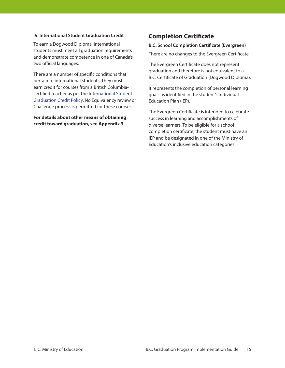#### <span id="page-20-0"></span>I**V. International Student Graduation Credit**

To earn a Dogwood Diploma, international students must meet all graduation requirements and demonstrate competence in one of Canada's two official languages.

There are a number of specific conditions that pertain to international students. They must earn credit for courses from a British Columbiacertified teacher as per the [International Student](https://www2.gov.bc.ca/gov/content/education-training/administration/legislation-policy/public-schools/international-student-graduation-credit)  [Graduation Credit Policy.](https://www2.gov.bc.ca/gov/content/education-training/administration/legislation-policy/public-schools/international-student-graduation-credit) No Equivalency review or Challenge process is permitted for these courses.

**For details about other means of obtaining credit toward graduation, see Appendix 3.**

### **Completion Certificate**

#### **B.C. School Completion Certificate (Evergreen)**

There are no changes to the Evergreen Certificate.

The Evergreen Certificate does not represent graduation and therefore is not equivalent to a B.C. Certificate of Graduation (Dogwood Diploma).

It represents the completion of personal learning goals as identified in the student's Individual Education Plan (IEP).

The Evergreen Certificate is intended to celebrate success in learning and accomplishments of diverse learners. To be eligible for a school completion certificate, the student must have an IEP and be designated in one of the Ministry of Education's inclusive education categories.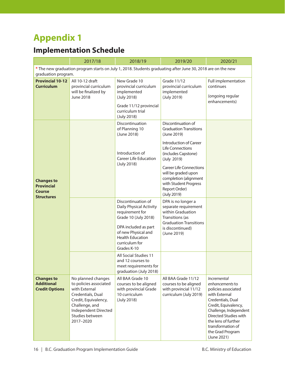# <span id="page-21-0"></span>**Appendix 1**

# **Implementation Schedule**

|                                                                                                                                    | 2017/18                                                                                                                                                                              | 2018/19                                                                                                                                                                                             | 2019/20                                                                                                                                                                                                                                                                                                  | 2020/21                                                                                                                                                                                                                                               |  |
|------------------------------------------------------------------------------------------------------------------------------------|--------------------------------------------------------------------------------------------------------------------------------------------------------------------------------------|-----------------------------------------------------------------------------------------------------------------------------------------------------------------------------------------------------|----------------------------------------------------------------------------------------------------------------------------------------------------------------------------------------------------------------------------------------------------------------------------------------------------------|-------------------------------------------------------------------------------------------------------------------------------------------------------------------------------------------------------------------------------------------------------|--|
| * The new graduation program starts on July 1, 2018. Students graduating after June 30, 2018 are on the new<br>graduation program. |                                                                                                                                                                                      |                                                                                                                                                                                                     |                                                                                                                                                                                                                                                                                                          |                                                                                                                                                                                                                                                       |  |
| <b>Provincial 10-12</b><br><b>Curriculum</b>                                                                                       | All 10-12 draft<br>provincial curriculum<br>will be finalized by<br><b>June 2018</b>                                                                                                 | New Grade 10<br>provincial curriculum<br>implemented<br>(July 2018)<br>Grade 11/12 provincial<br>curriculum trial<br>(July 2018)                                                                    | <b>Grade 11/12</b><br>provincial curriculum<br>implemented<br>(July 2019)                                                                                                                                                                                                                                | Full implementation<br>continues<br>(ongoing regular<br>enhancements)                                                                                                                                                                                 |  |
| <b>Changes to</b><br><b>Provincial</b><br><b>Course</b>                                                                            |                                                                                                                                                                                      | Discontinuation<br>of Planning 10<br>(June 2018)<br>Introduction of<br><b>Career Life Education</b><br>(July 2018)                                                                                  | Discontinuation of<br><b>Graduation Transitions</b><br>(June 2019)<br>Introduction of Career<br><b>Life Connections</b><br>(includes Capstone)<br>(July 2019)<br><b>Career Life Connections</b><br>will be graded upon<br>completion (alignment<br>with Student Progress<br>Report Order)<br>(July 2019) |                                                                                                                                                                                                                                                       |  |
| <b>Structures</b>                                                                                                                  |                                                                                                                                                                                      | Discontinuation of<br>Daily Physical Activity<br>requirement for<br>Grade 10 (July 2018)<br>DPA included as part<br>of new Physical and<br><b>Health Education</b><br>curriculum for<br>Grades K-10 | DPA is no longer a<br>separate requirement<br>within Graduation<br>Transitions (as<br><b>Graduation Transitions</b><br>is discontinued)<br>(June 2019)                                                                                                                                                   |                                                                                                                                                                                                                                                       |  |
|                                                                                                                                    |                                                                                                                                                                                      | All Social Studies 11<br>and 12 courses to<br>meet requirements for<br>graduation (July 2018)                                                                                                       |                                                                                                                                                                                                                                                                                                          |                                                                                                                                                                                                                                                       |  |
| <b>Changes to</b><br><b>Additional</b><br><b>Credit Options</b>                                                                    | No planned changes<br>to policies associated<br>with External<br>Credentials, Dual<br>Credit, Equivalency,<br>Challenge, and<br>Independent Directed<br>Studies between<br>2017-2020 | All BAA Grade 10<br>courses to be aligned<br>with provincial Grade<br>10 curriculum<br>(July 2018)                                                                                                  | All BAA Grade 11/12<br>courses to be aligned<br>with provincial 11/12<br>curriculum (July 2019)                                                                                                                                                                                                          | Incremental<br>enhancements to<br>policies associated<br>with External<br>Credentials, Dual<br>Credit, Equivalency,<br>Challenge, Independent<br>Directed Studies with<br>the lens of further<br>transformation of<br>the Grad Program<br>(June 2021) |  |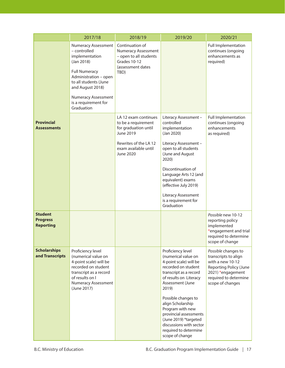|                                                       | 2017/18                                                                                                                                                                                                                        | 2018/19                                                                                                                                        | 2019/20                                                                                                                                                                                                                                                                                                                                                              | 2020/21                                                                                                                                                            |
|-------------------------------------------------------|--------------------------------------------------------------------------------------------------------------------------------------------------------------------------------------------------------------------------------|------------------------------------------------------------------------------------------------------------------------------------------------|----------------------------------------------------------------------------------------------------------------------------------------------------------------------------------------------------------------------------------------------------------------------------------------------------------------------------------------------------------------------|--------------------------------------------------------------------------------------------------------------------------------------------------------------------|
|                                                       | Numeracy Assessment<br>- controlled<br>implementation<br>(Jan 2018)<br><b>Full Numeracy</b><br>Administration - open<br>to all students (June<br>and August 2018)<br>Numeracy Assessment<br>is a requirement for<br>Graduation | Continuation of<br>Numeracy Assessment<br>- open to all students<br>Grades 10-12<br>(assessment dates<br>TBD)                                  |                                                                                                                                                                                                                                                                                                                                                                      | Full Implementation<br>continues (ongoing<br>enhancements as<br>required)                                                                                          |
| <b>Provincial</b><br><b>Assessments</b>               |                                                                                                                                                                                                                                | LA 12 exam continues<br>to be a requirement<br>for graduation until<br>June 2019<br>Rewrites of the LA 12<br>exam available until<br>June 2020 | Literacy Assessment -<br>controlled<br>implementation<br>(Jan 2020)<br>Literacy Assessment -<br>open to all students<br>(June and August<br>2020)<br>Discontinuation of<br>Language Arts 12 (and<br>equivalent) exams<br>(effective July 2019)<br>Literacy Assessment<br>is a requirement for<br>Graduation                                                          | <b>Full Implementation</b><br>continues (ongoing<br>enhancements<br>as required)                                                                                   |
| <b>Student</b><br><b>Progress</b><br><b>Reporting</b> |                                                                                                                                                                                                                                |                                                                                                                                                |                                                                                                                                                                                                                                                                                                                                                                      | Possible new 10-12<br>reporting policy<br>implemented<br>*engagement and trial<br>required to determine<br>scope of change                                         |
| <b>Scholarships</b><br>and Transcripts                | Proficiency level<br>(numerical value on<br>4-point scale) will be<br>recorded on student<br>transcript as a record<br>of results on I<br>Numeracy Assessment<br>(June 2017)                                                   |                                                                                                                                                | Proficiency level<br>(numerical value on<br>4-point scale) will be<br>recorded on student<br>transcript as a record<br>of results on Literacy<br>Assessment (June<br>2019)<br>Possible changes to<br>align Scholarship<br>Program with new<br>provincial assessments<br>(June 2019) *targeted<br>discussions with sector<br>required to determine<br>scope of change | Possible changes to<br>transcripts to align<br>with a new 10-12<br><b>Reporting Policy (June</b><br>2021) *engagement<br>required to determine<br>scope of changes |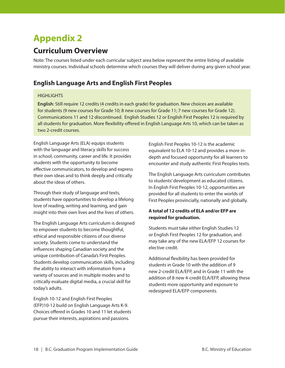# <span id="page-23-0"></span>**Appendix 2**

# **Curriculum Overview**

Note: The courses listed under each curricular subject area below represent the entire listing of available ministry courses. Individual schools determine which courses they will deliver during any given school year.

# **English Language Arts and English First Peoples**

#### **HIGHLIGHTS**

**English**: Still require 12 credits (4 credits in each grade) for graduation. New choices are available for students (9 new courses for Grade 10; 8 new courses for Grade 11; 7 new courses for Grade 12). Communications 11 and 12 discontinued. English Studies 12 or English First Peoples 12 is required by all students for graduation. More flexibility offered in English Language Arts 10, which can be taken as two 2-credit courses.

English Language Arts (ELA) equips students with the language and literacy skills for success in school, community, career and life. It provides students with the opportunity to become effective communicators, to develop and express their own ideas and to think deeply and critically about the ideas of others.

Through their study of language and texts, students have opportunities to develop a lifelong love of reading, writing and learning, and gain insight into their own lives and the lives of others.

The English Language Arts curriculum is designed to empower students to become thoughtful, ethical and responsible citizens of our diverse society. Students come to understand the influences shaping Canadian society and the unique contribution of Canada's First Peoples. Students develop communication skills, including the ability to interact with information from a variety of sources and in multiple modes and to critically evaluate digital media, a crucial skill for today's adults.

English 10-12 and English First Peoples (EFP)10-12 build on English Language Arts K-9. Choices offered in Grades 10 and 11 let students pursue their interests, aspirations and passions.

English First Peoples 10-12 is the academic equivalent to ELA 10-12 and provides a more indepth and focused opportunity for all learners to encounter and study authentic First Peoples texts.

The English Language Arts curriculum contributes to students' development as educated citizens. In English First Peoples 10-12, opportunities are provided for all students to enter the worlds of First Peoples provincially, nationally and globally.

#### **A total of 12 credits of ELA and/or EFP are required for graduation.**

Students must take either English Studies 12 or English First Peoples 12 for graduation, and may take any of the new ELA/EFP 12 courses for elective credit.

Additional flexibility has been provided for students in Grade 10 with the addition of 9 new 2-credit ELA/EFP, and in Grade 11 with the addition of 8 new 4-credit ELA/EFP, allowing these students more opportunity and exposure to redesigned ELA/EFP components.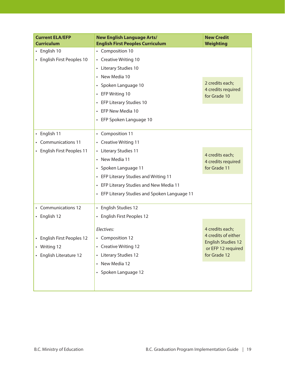| <b>Current ELA/EFP</b><br><b>Curriculum</b> | <b>New English Language Arts/</b><br><b>English First Peoples Curriculum</b> | <b>New Credit</b><br><b>Weighting</b>           |
|---------------------------------------------|------------------------------------------------------------------------------|-------------------------------------------------|
| $\cdot$ English 10                          | • Composition 10                                                             |                                                 |
| • English First Peoples 10                  | • Creative Writing 10                                                        |                                                 |
|                                             | • Literary Studies 10                                                        |                                                 |
|                                             | • New Media 10                                                               |                                                 |
|                                             | · Spoken Language 10                                                         | 2 credits each;<br>4 credits required           |
|                                             | • EFP Writing 10                                                             | for Grade 10                                    |
|                                             | • EFP Literary Studies 10                                                    |                                                 |
|                                             | • EFP New Media 10                                                           |                                                 |
|                                             | • EFP Spoken Language 10                                                     |                                                 |
| • English 11                                | • Composition 11                                                             |                                                 |
| • Communications 11                         | • Creative Writing 11                                                        |                                                 |
| • English First Peoples 11                  | • Literary Studies 11                                                        | 4 credits each;                                 |
|                                             | • New Media 11                                                               | 4 credits required                              |
|                                             | · Spoken Language 11                                                         | for Grade 11                                    |
|                                             | • EFP Literary Studies and Writing 11                                        |                                                 |
|                                             | • EFP Literary Studies and New Media 11                                      |                                                 |
|                                             | • EFP Literary Studies and Spoken Language 11                                |                                                 |
| • Communications 12                         | • English Studies 12                                                         |                                                 |
| $\cdot$ English 12                          | • English First Peoples 12                                                   |                                                 |
|                                             | Electives:                                                                   | 4 credits each;                                 |
| • English First Peoples 12                  | • Composition 12                                                             | 4 credits of either                             |
| • Writing 12                                | • Creative Writing 12                                                        | <b>English Studies 12</b><br>or EFP 12 required |
| • English Literature 12                     | • Literary Studies 12                                                        | for Grade 12                                    |
|                                             | • New Media 12                                                               |                                                 |
|                                             | • Spoken Language 12                                                         |                                                 |
|                                             |                                                                              |                                                 |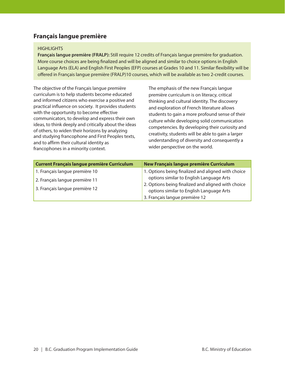# <span id="page-25-0"></span>**Français langue première**

#### **HIGHLIGHTS**

**Français langue première (FRALP):** Still require 12 credits of Français langue première for graduation. More course choices are being finalized and will be aligned and similar to choice options in English Language Arts (ELA) and English First Peoples (EFP) courses at Grades 10 and 11. Similar flexibility will be offered in Français langue première (FRALP)10 courses, which will be available as two 2-credit courses.

The objective of the Français langue première curriculum is to help students become educated and informed citizens who exercise a positive and practical influence on society. It provides students with the opportunity to become effective communicators, to develop and express their own ideas, to think deeply and critically about the ideas of others, to widen their horizons by analyzing and studying francophone and First Peoples texts, and to affirm their cultural identity as francophones in a minority context.

The emphasis of the new Français langue première curriculum is on literacy, critical thinking and cultural identity. The discovery and exploration of French literature allows students to gain a more profound sense of their culture while developing solid communication competencies. By developing their curiosity and creativity, students will be able to gain a larger understanding of diversity and consequently a wider perspective on the world.

| <b>Current Français langue première Curriculum</b> | New Français langue première Curriculum                                                        |
|----------------------------------------------------|------------------------------------------------------------------------------------------------|
| 1. Français langue première 10                     | 1. Options being finalized and aligned with choice                                             |
| 2. Français langue première 11                     | options similar to English Language Arts<br>2. Options being finalized and aligned with choice |
| 3. Français langue première 12                     | options similar to English Language Arts                                                       |
|                                                    | 3. Français langue première 12                                                                 |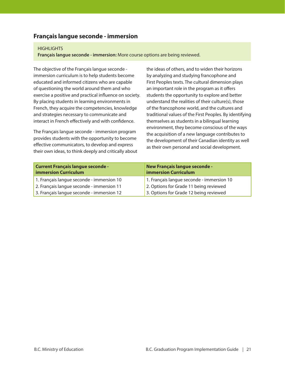## <span id="page-26-0"></span>**Français langue seconde - immersion**

#### **HIGHLIGHTS**

**Français langue seconde - immersion:** More course options are being reviewed.

The objective of the Français langue seconde immersion curriculum is to help students become educated and informed citizens who are capable of questioning the world around them and who exercise a positive and practical influence on society. By placing students in learning environments in French, they acquire the competencies, knowledge and strategies necessary to communicate and interact in French effectively and with confidence.

The Français langue seconde - immersion program provides students with the opportunity to become effective communicators, to develop and express their own ideas, to think deeply and critically about the ideas of others, and to widen their horizons by analyzing and studying francophone and First Peoples texts. The cultural dimension plays an important role in the program as it offers students the opportunity to explore and better understand the realities of their culture(s), those of the francophone world, and the cultures and traditional values of the First Peoples. By identifying themselves as students in a bilingual learning environment, they become conscious of the ways the acquisition of a new language contributes to the development of their Canadian identity as well as their own personal and social development.

| <b>Current Français langue seconde -</b><br><b>immersion Curriculum</b> | <b>New Français langue seconde -</b><br><b>immersion Curriculum</b> |
|-------------------------------------------------------------------------|---------------------------------------------------------------------|
| 1. Français langue seconde - immersion 10                               | 1. Français langue seconde - immersion 10                           |
| 2. Français langue seconde - immersion 11                               | 2. Options for Grade 11 being reviewed                              |
| 3. Français langue seconde - immersion 12                               | 3. Options for Grade 12 being reviewed                              |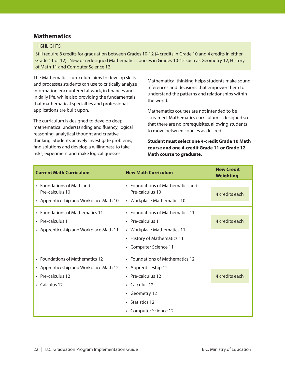### <span id="page-27-0"></span>**Mathematics**

#### **HIGHLIGHTS**

Still require 8 credits for graduation between Grades 10-12 (4 credits in Grade 10 and 4 credits in either Grade 11 or 12). New or redesigned Mathematics courses in Grades 10-12 such as Geometry 12, History of Math 11 and Computer Science 12.

The Mathematics curriculum aims to develop skills and processes students can use to critically analyze information encountered at work, in finances and in daily life, while also providing the fundamentals that mathematical specialties and professional applications are built upon.

The curriculum is designed to develop deep mathematical understanding and fluency, logical reasoning, analytical thought and creative thinking. Students actively investigate problems, find solutions and develop a willingness to take risks, experiment and make logical guesses.

Mathematical thinking helps students make sound inferences and decisions that empower them to understand the patterns and relationships within the world.

Mathematics courses are not intended to be streamed. Mathematics curriculum is designed so that there are no prerequisites, allowing students to move between courses as desired.

**Student must select one 4-credit Grade 10 Math course and one 4-credit Grade 11 or Grade 12 Math course to graduate.** 

| <b>Current Math Curriculum</b>                                                                                  | <b>New Math Curriculum</b>                                                                                                                                | <b>New Credit</b><br><b>Weighting</b> |
|-----------------------------------------------------------------------------------------------------------------|-----------------------------------------------------------------------------------------------------------------------------------------------------------|---------------------------------------|
| • Foundations of Math and<br>Pre-calculus 10<br>• Apprenticeship and Workplace Math 10                          | • Foundations of Mathematics and<br>Pre-calculus 10<br>• Workplace Mathematics 10                                                                         | 4 credits each                        |
| • Foundations of Mathematics 11<br>• Pre-calculus $11$<br>• Apprenticeship and Workplace Math 11                | • Foundations of Mathematics 11<br>• Pre-calculus $11$<br>• Workplace Mathematics 11<br>• History of Mathematics 11<br>• Computer Science 11              | 4 credits each                        |
| • Foundations of Mathematics 12<br>• Apprenticeship and Workplace Math 12<br>• Pre-calculus 12<br>• Calculus 12 | • Foundations of Mathematics 12<br>• Apprenticeship 12<br>• Pre-calculus 12<br>• Calculus 12<br>• Geometry 12<br>• Statistics 12<br>• Computer Science 12 | 4 credits each                        |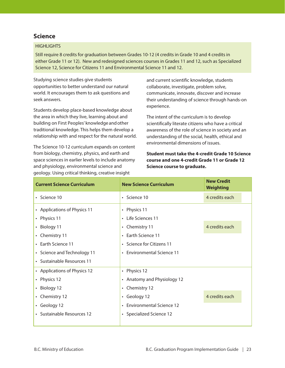### <span id="page-28-0"></span>**Science**

#### **HIGHLIGHTS**

Still require 8 credits for graduation between Grades 10-12 (4 credits in Grade 10 and 4 credits in either Grade 11 or 12). New and redesigned sciences courses in Grades 11 and 12, such as Specialized Science 12, Science for Citizens 11 and Environmental Science 11 and 12.

Studying science studies give students opportunities to better understand our natural world. It encourages them to ask questions and seek answers.

Students develop place-based knowledge about the area in which they live, learning about and building on First Peoples' knowledge and other traditional knowledge. This helps them develop a relationship with and respect for the natural world.

The Science 10-12 curriculum expands on content from biology, chemistry, physics, and earth and space sciences in earlier levels to include anatomy and physiology, environmental science and geology. Using critical thinking, creative insight

and current scientific knowledge, students collaborate, investigate, problem solve, communicate, innovate, discover and increase their understanding of science through hands-on experience.

The intent of the curriculum is to develop scientifically literate citizens who have a critical awareness of the role of science in society and an understanding of the social, health, ethical and environmental dimensions of issues.

#### **Student must take the 4-credit Grade 10 Science course and one 4-credit Grade 11 or Grade 12 Science course to graduate.**

| <b>Current Science Curriculum</b> | <b>New Science Curriculum</b> | <b>New Credit</b><br><b>Weighting</b> |
|-----------------------------------|-------------------------------|---------------------------------------|
| $\cdot$ Science 10                | $\cdot$ Science 10            | 4 credits each                        |
| • Applications of Physics 11      | • Physics 11                  |                                       |
| • Physics 11                      | • Life Sciences 11            |                                       |
| • Biology 11                      | • Chemistry 11                | 4 credits each                        |
| • Chemistry 11                    | • Earth Science 11            |                                       |
| • Earth Science 11                | • Science for Citizens 11     |                                       |
| • Science and Technology 11       | • Environmental Science 11    |                                       |
| • Sustainable Resources 11        |                               |                                       |
| • Applications of Physics 12      | • Physics 12                  |                                       |
| • Physics 12                      | • Anatomy and Physiology 12   |                                       |
| • Biology 12                      | • Chemistry 12                |                                       |
| • Chemistry 12                    | • Geology 12                  | 4 credits each                        |
| • Geology 12                      | • Environmental Science 12    |                                       |
| • Sustainable Resources 12        | • Specialized Science 12      |                                       |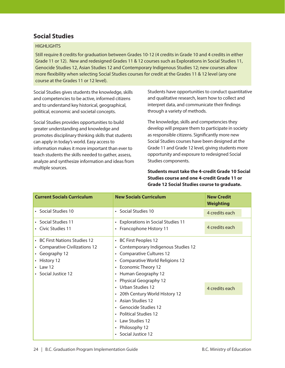# <span id="page-29-0"></span>**Social Studies**

#### **HIGHLIGHTS**

Still require 8 credits for graduation between Grades 10-12 (4 credits in Grade 10 and 4 credits in either Grade 11 or 12). New and redesigned Grades 11 & 12 courses such as Explorations in Social Studies 11, Genocide Studies 12, Asian Studies 12 and Contemporary Indigenous Studies 12; new courses allow more flexibility when selecting Social Studies courses for credit at the Grades 11 & 12 level (any one course at the Grades 11 or 12 level).

Social Studies gives students the knowledge, skills and competencies to be active, informed citizens and to understand key historical, geographical, political, economic and societal concepts.

Social Studies provides opportunities to build greater understanding and knowledge and promotes disciplinary thinking skills that students can apply in today's world. Easy access to information makes it more important than ever to teach students the skills needed to gather, assess, analyze and synthesize information and ideas from multiple sources.

Students have opportunities to conduct quantitative and qualitative research, learn how to collect and interpret data, and communicate their findings through a variety of methods.

The knowledge, skills and competencies they develop will prepare them to participate in society as responsible citizens. Significantly more new Social Studies courses have been designed at the Grade 11 and Grade 12 level, giving students more opportunity and exposure to redesigned Social Studies components.

#### **Students must take the 4-credit Grade 10 Social Studies course and one 4-credit Grade 11 or Grade 12 Social Studies course to graduate.**

| <b>Current Socials Curriculum</b>                                                                                                                     | <b>New Socials Curriculum</b>                                                                                                                                                                                                                                                                                                                                                        | <b>New Credit</b><br><b>Weighting</b> |
|-------------------------------------------------------------------------------------------------------------------------------------------------------|--------------------------------------------------------------------------------------------------------------------------------------------------------------------------------------------------------------------------------------------------------------------------------------------------------------------------------------------------------------------------------------|---------------------------------------|
| • Social Studies 10                                                                                                                                   | Social Studies 10<br>$\bullet$                                                                                                                                                                                                                                                                                                                                                       | 4 credits each                        |
| • Social Studies 11<br>• Civic Studies 11                                                                                                             | <b>Explorations in Social Studies 11</b><br>$\bullet$<br><b>Francophone History 11</b><br>$\bullet$                                                                                                                                                                                                                                                                                  | 4 credits each                        |
| • BC First Nations Studies 12<br>• Comparative Civilizations 12<br>Geography 12<br>$\bullet$<br>• History 12<br>$\cdot$ Law 12<br>• Social Justice 12 | • BC First Peoples 12<br>Contemporary Indigenous Studies 12<br>$\bullet$<br><b>Comparative Cultures 12</b><br>$\bullet$<br><b>Comparative World Religions 12</b><br>$\bullet$<br><b>Economic Theory 12</b><br>$\bullet$<br>Human Geography 12<br>$\bullet$<br>Physical Geography 12<br>$\bullet$<br>Urban Studies 12<br>4 credits each<br>20th Century World History 12<br>$\bullet$ |                                       |
|                                                                                                                                                       | <b>Asian Studies 12</b><br>$\bullet$<br><b>Genocide Studies 12</b><br><b>Political Studies 12</b><br>$\bullet$<br>Law Studies 12<br>$\bullet$<br>Philosophy 12<br>$\bullet$<br>Social Justice 12                                                                                                                                                                                     |                                       |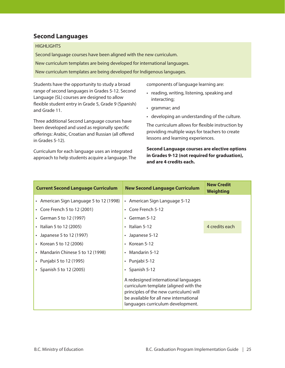# <span id="page-30-0"></span>**Second Languages**

#### **HIGHLIGHTS**

Second language courses have been aligned with the new curriculum. New curriculum templates are being developed for international languages.

New curriculum templates are being developed for Indigenous languages.

Students have the opportunity to study a broad range of second languages in Grades 5-12. Second Language (SL) courses are designed to allow flexible student entry in Grade 5, Grade 9 (Spanish) and Grade 11.

Three additional Second Language courses have been developed and used as regionally specific offerings: Arabic, Croatian and Russian (all offered in Grades 5-12).

Curriculum for each language uses an integrated approach to help students acquire a language. The components of language learning are:

- reading, writing, listening, speaking and interacting;
- grammar; and
- developing an understanding of the culture.

The curriculum allows for flexible instruction by providing multiple ways for teachers to create lessons and learning experiences.

**Second Language courses are elective options in Grades 9-12 (not required for graduation), and are 4 credits each.** 

| <b>Current Second Language Curriculum</b>    | <b>New Second Language Curriculum</b>                                                                                                                                                                  | <b>New Credit</b><br><b>Weighting</b> |
|----------------------------------------------|--------------------------------------------------------------------------------------------------------------------------------------------------------------------------------------------------------|---------------------------------------|
| • American Sign Language 5 to 12 (1998)      | • American Sign Language 5-12                                                                                                                                                                          |                                       |
| • Core French 5 to 12 (2001)                 | • Core French 5-12                                                                                                                                                                                     |                                       |
| German 5 to 12 (1997)<br>$\bullet$           | German 5-12<br>$\bullet$                                                                                                                                                                               |                                       |
| • Italian 5 to 12 (2005)                     | $\cdot$ Italian 5-12                                                                                                                                                                                   | 4 credits each                        |
| Japanese 5 to 12 (1997)<br>$\bullet$         | Japanese 5-12<br>$\bullet$                                                                                                                                                                             |                                       |
| • Korean 5 to 12 (2006)                      | Korean 5-12<br>$\bullet$                                                                                                                                                                               |                                       |
| Mandarin Chinese 5 to 12 (1998)<br>$\bullet$ | Mandarin 5-12<br>$\bullet$                                                                                                                                                                             |                                       |
| Punjabi 5 to 12 (1995)<br>$\bullet$          | Punjabi 5-12<br>$\bullet$                                                                                                                                                                              |                                       |
| Spanish 5 to 12 (2005)<br>$\bullet$          | Spanish 5-12<br>$\bullet$                                                                                                                                                                              |                                       |
|                                              | A redesigned international languages<br>curriculum template (aligned with the<br>principles of the new curriculum) will<br>be available for all new international<br>languages curriculum development. |                                       |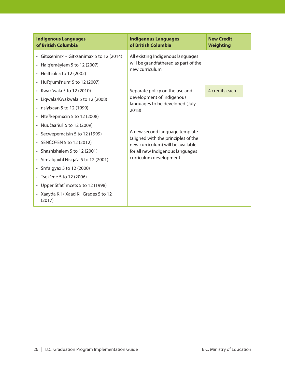| <b>Indigenous Languages</b><br>of British Columbia                                                                                              | <b>Indigenous Languages</b><br>of British Columbia                                                         | <b>New Credit</b><br><b>Weighting</b> |
|-------------------------------------------------------------------------------------------------------------------------------------------------|------------------------------------------------------------------------------------------------------------|---------------------------------------|
| • Gitxsenimx $\sim$ Gitxsanimax 5 to 12 (2014)<br>• Halq'eméylem 5 to 12 (2007)<br>• Heiltsuk 5 to 12 (2002)<br>• Hul'q'umi'num' 5 to 12 (2007) | All existing Indigenous languages<br>will be grandfathered as part of the<br>new curriculum                |                                       |
| • Kwak'wala 5 to 12 (2010)                                                                                                                      | Separate policy on the use and<br>development of Indigenous                                                | 4 credits each                        |
| • Liqwala/Kwakwala 5 to 12 (2008)<br>• nsíylxcan 5 to 12 (1999)                                                                                 | languages to be developed (July<br>2018)                                                                   |                                       |
| Nte?kepmxcin 5 to 12 (2008)<br>$\bullet$<br>• Nuučaanuł 5 to 12 (2009)                                                                          |                                                                                                            |                                       |
| • Secwepemctsin 5 to 12 (1999)<br>$\cdot$ SENCOTEN 5 to 12 (2012)                                                                               | A new second language template<br>(aligned with the principles of the<br>new curriculum) will be available |                                       |
| • Shashishalem 5 to 12 (2001)<br>· Sim'algaxhl Nisga'a 5 to 12 (2001)                                                                           | for all new Indigenous languages<br>curriculum development                                                 |                                       |
| • Sm'algyax 5 to 12 (2000)                                                                                                                      |                                                                                                            |                                       |
| • Tsek'ene 5 to 12 (2006)<br>• Upper St'at'imcets 5 to 12 (1998)                                                                                |                                                                                                            |                                       |
| • Xaayda Kil / Xaad Kil Grades 5 to 12<br>(2017)                                                                                                |                                                                                                            |                                       |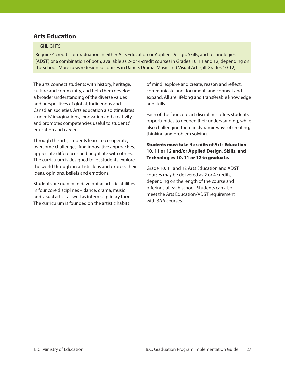## <span id="page-32-0"></span>**Arts Education**

#### **HIGHLIGHTS**

Require 4 credits for graduation in either Arts Education or Applied Design, Skills, and Technologies (ADST) or a combination of both; available as 2- or 4-credit courses in Grades 10, 11 and 12, depending on the school. More new/redesigned courses in Dance, Drama, Music and Visual Arts (all Grades 10-12).

The arts connect students with history, heritage, culture and community, and help them develop a broader understanding of the diverse values and perspectives of global, Indigenous and Canadian societies. Arts education also stimulates students' imaginations, innovation and creativity, and promotes competencies useful to students' education and careers.

Through the arts, students learn to co-operate, overcome challenges, find innovative approaches, appreciate differences and negotiate with others. The curriculum is designed to let students explore the world through an artistic lens and express their ideas, opinions, beliefs and emotions.

Students are guided in developing artistic abilities in four core disciplines – dance, drama, music and visual arts – as well as interdisciplinary forms. The curriculum is founded on the artistic habits

of mind: explore and create, reason and reflect, communicate and document, and connect and expand. All are lifelong and transferable knowledge and skills.

Each of the four core art disciplines offers students opportunities to deepen their understanding, while also challenging them in dynamic ways of creating, thinking and problem solving.

#### **Students must take 4 credits of Arts Education 10, 11 or 12 and/or Applied Design, Skills, and Technologies 10, 11 or 12 to graduate.**

Grade 10, 11 and 12 Arts Education and ADST courses may be delivered as 2 or 4 credits, depending on the length of the course and offerings at each school. Students can also meet the Arts Education/ADST requirement with BAA courses.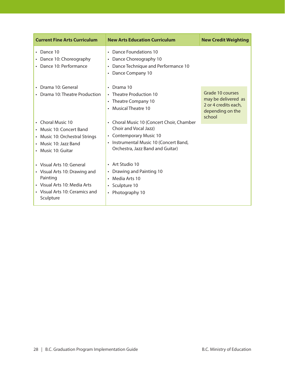| <b>Current Fine Arts Curriculum</b>                                                                                                                   | <b>New Arts Education Curriculum</b>                                                                                                                                       | <b>New Credit Weighting</b>                                                                   |
|-------------------------------------------------------------------------------------------------------------------------------------------------------|----------------------------------------------------------------------------------------------------------------------------------------------------------------------------|-----------------------------------------------------------------------------------------------|
| • Dance $10$<br>• Dance 10: Choreography<br>Dance 10: Performance                                                                                     | Dance Foundations 10<br>$\bullet$<br>Dance Choreography 10<br>$\bullet$<br>Dance Technique and Performance 10<br>$\bullet$<br>Dance Company 10<br>$\bullet$                |                                                                                               |
| • Drama 10: General<br>• Drama 10: Theatre Production<br>• Choral Music 10                                                                            | Drama 10<br>$\bullet$<br>• Theatre Production 10<br>Theatre Company 10<br>$\bullet$<br><b>Musical Theatre 10</b><br>$\bullet$<br>• Choral Music 10 (Concert Choir, Chamber | Grade 10 courses<br>may be delivered as<br>2 or 4 credits each,<br>depending on the<br>school |
| • Music 10: Concert Band<br>• Music 10: Orchestral Strings<br>• Music 10: Jazz Band<br>• Music 10: Guitar                                             | Choir and Vocal Jazz)<br>• Contemporary Music 10<br>Instrumental Music 10 (Concert Band,<br>$\bullet$<br>Orchestra, Jazz Band and Guitar)                                  |                                                                                               |
| • Visual Arts 10: General<br>• Visual Arts 10: Drawing and<br>Painting<br>• Visual Arts 10: Media Arts<br>• Visual Arts 10: Ceramics and<br>Sculpture | • Art Studio 10<br>Drawing and Painting 10<br>$\bullet$<br>Media Arts 10<br>$\bullet$<br>Sculpture 10<br>$\bullet$<br>• Photography 10                                     |                                                                                               |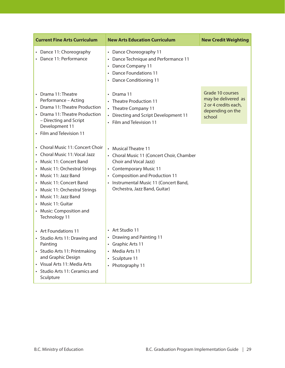| <b>Current Fine Arts Curriculum</b>                                                                                                                                                                                                                                                                     | <b>New Arts Education Curriculum</b>                                                                                                                                                                                                              | <b>New Credit Weighting</b>                                                                   |
|---------------------------------------------------------------------------------------------------------------------------------------------------------------------------------------------------------------------------------------------------------------------------------------------------------|---------------------------------------------------------------------------------------------------------------------------------------------------------------------------------------------------------------------------------------------------|-----------------------------------------------------------------------------------------------|
| • Dance 11: Choreography<br>Dance 11: Performance                                                                                                                                                                                                                                                       | • Dance Choreography 11<br>Dance Technique and Performance 11<br>$\bullet$<br>Dance Company 11<br>$\bullet$<br>Dance Foundations 11<br>• Dance Conditioning 11                                                                                    |                                                                                               |
| Drama 11: Theatre<br>Performance - Acting<br>• Drama 11: Theatre Production<br>Drama 11: Theatre Production<br>- Directing and Script<br>Development 11<br>• Film and Television 11                                                                                                                     | Drama 11<br>$\bullet$<br>Theatre Production 11<br>• Theatre Company 11<br>Directing and Script Development 11<br>Film and Television 11<br>$\bullet$                                                                                              | Grade 10 courses<br>may be delivered as<br>2 or 4 credits each,<br>depending on the<br>school |
| <b>Choral Music 11: Concert Choir</b><br>Choral Music 11: Vocal Jazz<br>Music 11: Concert Band<br>Music 11: Orchestral Strings<br>Music 11: Jazz Band<br>Music 11: Concert Band<br>Music 11: Orchestral Strings<br>Music 11: Jazz Band<br>Music 11: Guitar<br>• Music: Composition and<br>Technology 11 | Musical Theatre 11<br>• Choral Music 11 (Concert Choir, Chamber<br>Choir and Vocal Jazz)<br>• Contemporary Music 11<br><b>Composition and Production 11</b><br>Instrumental Music 11 (Concert Band,<br>$\bullet$<br>Orchestra, Jazz Band, Guitar) |                                                                                               |
| • Art Foundations 11<br>• Studio Arts 11: Drawing and<br>Painting<br>· Studio Arts 11: Printmaking<br>and Graphic Design<br>• Visual Arts 11: Media Arts<br>Studio Arts 11: Ceramics and<br>Sculpture                                                                                                   | • Art Studio 11<br><b>Drawing and Painting 11</b><br><b>Graphic Arts 11</b><br>$\bullet$<br>Media Arts 11<br>Sculpture 11<br>$\bullet$<br>Photography 11<br>$\bullet$                                                                             |                                                                                               |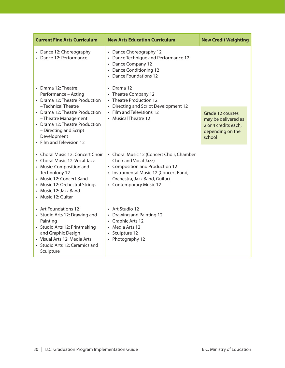| <b>Current Fine Arts Curriculum</b>                                                                                                                                                                                       | <b>New Arts Education Curriculum</b>                                                                                                                                                                        | <b>New Credit Weighting</b>                                                                   |
|---------------------------------------------------------------------------------------------------------------------------------------------------------------------------------------------------------------------------|-------------------------------------------------------------------------------------------------------------------------------------------------------------------------------------------------------------|-----------------------------------------------------------------------------------------------|
| • Dance 12: Choreography<br>• Dance 12: Performance                                                                                                                                                                       | • Dance Choreography 12<br>Dance Technique and Performance 12<br>• Dance Company 12<br><b>Dance Conditioning 12</b><br><b>Dance Foundations 12</b>                                                          |                                                                                               |
| • Drama 12: Theatre<br>Performance - Acting<br>• Drama 12: Theatre Production<br>- Technical Theatre                                                                                                                      | Drama 12<br>$\bullet$<br>Theatre Company 12<br>Theatre Production 12<br>Directing and Script Development 12                                                                                                 |                                                                                               |
| • Drama 12: Theatre Production<br>- Theatre Management<br>• Drama 12: Theatre Production<br>- Directing and Script<br>Development<br>• Film and Television 12                                                             | Film and Televisions 12<br><b>Musical Theatre 12</b>                                                                                                                                                        | Grade 12 courses<br>may be delivered as<br>2 or 4 credits each,<br>depending on the<br>school |
| • Choral Music 12: Concert Choir<br>• Choral Music 12: Vocal Jazz<br>• Music: Composition and<br>Technology 12<br>• Music 12: Concert Band<br>• Music 12: Orchestral Strings<br>Music 12: Jazz Band<br>• Music 12: Guitar | • Choral Music 12 (Concert Choir, Chamber<br>Choir and Vocal Jazz)<br>• Composition and Production 12<br>• Instrumental Music 12 (Concert Band,<br>Orchestra, Jazz Band, Guitar)<br>• Contemporary Music 12 |                                                                                               |
| • Art Foundations 12<br>• Studio Arts 12: Drawing and<br>Painting<br>· Studio Arts 12: Printmaking<br>and Graphic Design<br>• Visual Arts 12: Media Arts<br>• Studio Arts 12: Ceramics and<br>Sculpture                   | • Art Studio 12<br>Drawing and Painting 12<br>Graphic Arts 12<br>Media Arts 12<br>$\bullet$<br>Sculpture 12<br>$\bullet$<br>• Photography 12                                                                |                                                                                               |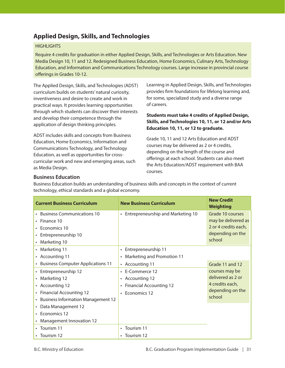# <span id="page-36-0"></span>**Applied Design, Skills, and Technologies**

#### **HIGHLIGHTS**

Require 4 credits for graduation in either Applied Design, Skills, and Technologies or Arts Education. New Media Design 10, 11 and 12. Redesigned Business Education, Home Economics, Culinary Arts, Technology Education, and Information and Communications Technology courses. Large increase in provincial course offerings in Grades 10-12.

The Applied Design, Skills, and Technologies (ADST) curriculum builds on students' natural curiosity, inventiveness and desire to create and work in practical ways. It provides learning opportunities through which students can discover their interests and develop their competence through the application of design thinking principles.

ADST includes skills and concepts from Business Education, Home Economics, Information and Communications Technology, and Technology Education, as well as opportunities for crosscurricular work and new and emerging areas, such as Media Design.

Learning in Applied Design, Skills, and Technologies provides firm foundations for lifelong learning and, for some, specialized study and a diverse range of careers.

**Students must take 4 credits of Applied Design, Skills, and Technologies 10, 11, or 12 and/or Arts Education 10, 11, or 12 to graduate.** 

Grade 10, 11 and 12 Arts Education and ADST courses may be delivered as 2 or 4 credits, depending on the length of the course and offerings at each school. Students can also meet the Arts Education/ADST requirement with BAA courses.

#### **Business Education**

Business Education builds an understanding of business skills and concepts in the context of current technology, ethical standards and a global economy.

| <b>Current Business Curriculum</b>   | <b>New Business Curriculum</b>                 | <b>New Credit</b><br><b>Weighting</b> |
|--------------------------------------|------------------------------------------------|---------------------------------------|
| <b>Business Communications 10</b>    | Entrepreneurship and Marketing 10<br>$\bullet$ | Grade 10 courses                      |
| $\cdot$ Finance 10                   |                                                | may be delivered as                   |
| Economics 10                         |                                                | 2 or 4 credits each,                  |
| • Entrepreneurship 10                |                                                | depending on the                      |
| • Marketing 10                       |                                                | school                                |
| • Marketing 11                       | • Entrepreneurship 11                          |                                       |
| • Accounting 11                      | Marketing and Promotion 11<br>$\bullet$        |                                       |
| • Business Computer Applications 11  | • Accounting 11                                | Grade 11 and 12                       |
| • Entrepreneurship 12                | E-Commerce 12<br>$\bullet$                     | courses may be                        |
| • Marketing 12                       | Accounting 12<br>$\bullet$                     | delivered as 2 or                     |
| • Accounting 12                      | <b>Financial Accounting 12</b>                 | 4 credits each,                       |
| • Financial Accounting 12            | • Economics 12                                 | depending on the                      |
| • Business Information Management 12 |                                                | school                                |
| • Data Management 12                 |                                                |                                       |
| • Economics 12                       |                                                |                                       |
| • Management Innovation 12           |                                                |                                       |
| • Tourism 11                         | Tourism 11                                     |                                       |
| • Tourism 12                         | Tourism 12                                     |                                       |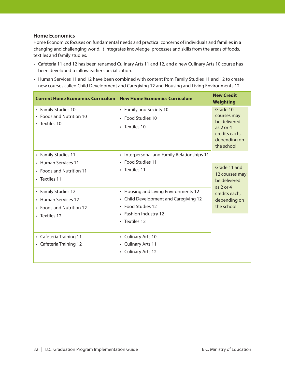#### **Home Economics**

Home Economics focuses on fundamental needs and practical concerns of individuals and families in a changing and challenging world. It integrates knowledge, processes and skills from the areas of foods, textiles and family studies.

- Cafeteria 11 and 12 has been renamed Culinary Arts 11 and 12, and a new Culinary Arts 10 course has been developed to allow earlier specialization.
- Human Services 11 and 12 have been combined with content from Family Studies 11 and 12 to create new courses called Child Development and Caregiving 12 and Housing and Living Environments 12.

| <b>Current Home Economics Curriculum</b>                                                | <b>New Home Economics Curriculum</b>                                                                                                                                      | <b>New Credit</b><br><b>Weighting</b>                                                                   |
|-----------------------------------------------------------------------------------------|---------------------------------------------------------------------------------------------------------------------------------------------------------------------------|---------------------------------------------------------------------------------------------------------|
| • Family Studies 10<br>Foods and Nutrition 10<br>• Textiles 10                          | • Family and Society 10<br>Food Studies 10<br>$\bullet$<br>• Textiles 10                                                                                                  | Grade 10<br>courses may<br>be delivered<br>as $2$ or $4$<br>credits each,<br>depending on<br>the school |
| • Family Studies 11<br>• Human Services 11                                              | Interpersonal and Family Relationships 11<br>$\bullet$<br>Food Studies 11<br>$\bullet$                                                                                    |                                                                                                         |
| • Foods and Nutrition 11<br>• Textiles 11                                               | • Textiles 11                                                                                                                                                             | Grade 11 and<br>12 courses may<br>be delivered<br>as $2$ or $4$                                         |
| • Family Studies 12<br>• Human Services 12<br>• Foods and Nutrition 12<br>• Textiles 12 | • Housing and Living Environments 12<br>• Child Development and Caregiving 12<br><b>Food Studies 12</b><br>$\bullet$<br>Fashion Industry 12<br>$\bullet$<br>• Textiles 12 | credits each,<br>depending on<br>the school                                                             |
| • Cafeteria Training 11<br>• Cafeteria Training 12                                      | • Culinary Arts 10<br><b>Culinary Arts 11</b><br>$\bullet$<br><b>Culinary Arts 12</b><br>$\bullet$                                                                        |                                                                                                         |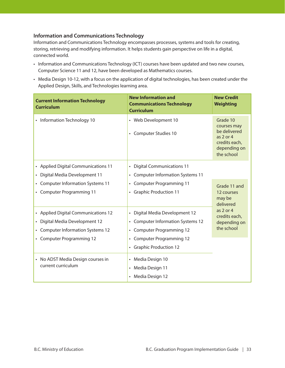#### **Information and Communications Technology**

Information and Communications Technology encompasses processes, systems and tools for creating, storing, retrieving and modifying information. It helps students gain perspective on life in a digital, connected world.

- Information and Communications Technology (ICT) courses have been updated and two new courses, Computer Science 11 and 12, have been developed as Mathematics courses.
- Media Design 10-12, with a focus on the application of digital technologies, has been created under the Applied Design, Skills, and Technologies learning area.

| <b>Current Information Technology</b><br><b>Curriculum</b>                                                                              | <b>New Information and</b><br><b>Communications Technology</b><br><b>Curriculum</b>                                                                                                                                                         | <b>New Credit</b><br><b>Weighting</b>                                                                   |
|-----------------------------------------------------------------------------------------------------------------------------------------|---------------------------------------------------------------------------------------------------------------------------------------------------------------------------------------------------------------------------------------------|---------------------------------------------------------------------------------------------------------|
| • Information Technology 10                                                                                                             | • Web Development 10<br>• Computer Studies 10                                                                                                                                                                                               | Grade 10<br>courses may<br>be delivered<br>as $2$ or $4$<br>credits each,<br>depending on<br>the school |
| • Applied Digital Communications 11<br>• Digital Media Development 11                                                                   | <b>Digital Communications 11</b><br>$\bullet$<br>• Computer Information Systems 11                                                                                                                                                          |                                                                                                         |
| • Computer Information Systems 11<br>• Computer Programming 11                                                                          | <b>Computer Programming 11</b><br>$\bullet$<br><b>Graphic Production 11</b><br>$\bullet$                                                                                                                                                    | Grade 11 and<br>12 courses<br>may be<br>delivered                                                       |
| • Applied Digital Communications 12<br>• Digital Media Development 12<br>• Computer Information Systems 12<br>• Computer Programming 12 | Digital Media Development 12<br>$\bullet$<br><b>Computer Information Systems 12</b><br>$\bullet$<br><b>Computer Programming 12</b><br>$\bullet$<br><b>Computer Programming 12</b><br>$\bullet$<br><b>Graphic Production 12</b><br>$\bullet$ | as $2$ or $4$<br>credits each,<br>depending on<br>the school                                            |
| • No ADST Media Design courses in<br>current curriculum                                                                                 | Media Design 10<br>$\bullet$<br>Media Design 11<br>$\bullet$<br>• Media Design 12                                                                                                                                                           |                                                                                                         |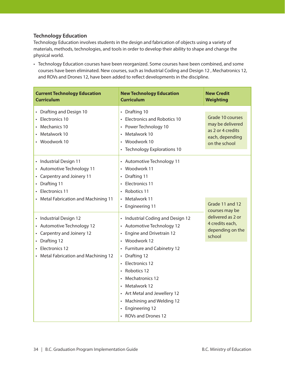#### **Technology Education**

Technology Education involves students in the design and fabrication of objects using a variety of materials, methods, technologies, and tools in order to develop their ability to shape and change the physical world.

• Technology Education courses have been reorganized. Some courses have been combined, and some courses have been eliminated. New courses, such as Industrial Coding and Design 12 , Mechatronics 12, and ROVs and Drones 12, have been added to reflect developments in the discipline.

| <b>Current Technology Education</b><br><b>Curriculum</b>                                                                                                      | <b>New Technology Education</b><br><b>Curriculum</b>                                                                                                                                                                                                                                                                                                                                                           | <b>New Credit</b><br><b>Weighting</b>                                                         |
|---------------------------------------------------------------------------------------------------------------------------------------------------------------|----------------------------------------------------------------------------------------------------------------------------------------------------------------------------------------------------------------------------------------------------------------------------------------------------------------------------------------------------------------------------------------------------------------|-----------------------------------------------------------------------------------------------|
| • Drafting and Design 10<br>• Electronics 10<br>Mechanics 10<br>Metalwork 10<br>• Woodwork 10                                                                 | • Drafting 10<br><b>Electronics and Robotics 10</b><br>Power Technology 10<br>$\bullet$<br>Metalwork 10<br>Woodwork 10<br><b>Technology Explorations 10</b>                                                                                                                                                                                                                                                    | Grade 10 courses<br>may be delivered<br>as 2 or 4 credits<br>each, depending<br>on the school |
| • Industrial Design 11<br>• Automotive Technology 11<br>• Carpentry and Joinery 11<br>• Drafting 11<br>Electronics 11<br>• Metal Fabrication and Machining 11 | • Automotive Technology 11<br>Woodwork 11<br>Drafting 11<br>Electronics 11<br>$\bullet$<br>Robotics 11<br>Metalwork 11<br>• Engineering 11                                                                                                                                                                                                                                                                     | Grade 11 and 12<br>courses may be                                                             |
| • Industrial Design 12<br>• Automotive Technology 12<br>• Carpentry and Joinery 12<br>Drafting 12<br>Electronics 12<br>• Metal Fabrication and Machining 12   | • Industrial Coding and Design 12<br>• Automotive Technology 12<br>• Engine and Drivetrain 12<br>Woodwork 12<br><b>Furniture and Cabinetry 12</b><br>• Drafting 12<br><b>Electronics 12</b><br>$\bullet$<br>Robotics 12<br>$\bullet$<br><b>Mechatronics 12</b><br>$\bullet$<br>Metalwork 12<br>• Art Metal and Jewellery 12<br>Machining and Welding 12<br>$\bullet$<br>Engineering 12<br>• ROVs and Drones 12 | delivered as 2 or<br>4 credits each,<br>depending on the<br>school                            |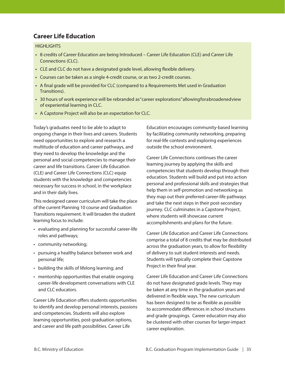### <span id="page-40-0"></span>**Career Life Education**

**HIGHLIGHTS** 

- **•** 8 credits of Career Education are being Introduced Career Life Education (CLE) and Career Life Connections (CLC).
- **•** CLE and CLC do not have a designated grade level, allowing flexible delivery.
- **•** Courses can be taken as a single 4-credit course, or as two 2-credit courses.
- **•** A final grade will be provided for CLC (compared to a Requirements Met used in Graduation Transitions).
- 30 hours of work experience will be rebranded as "career explorations" allowing for a broadened view of experiential learning in CLC.
- **•** A Capstone Project will also be an expectation for CLC.

Today's graduates need to be able to adapt to ongoing change in their lives and careers. Students need opportunities to explore and research a multitude of education and career pathways, and they need to develop the knowledge and the personal and social competencies to manage their career and life transitions. Career Life Education (CLE) and Career Life Connections (CLC) equip students with the knowledge and competencies necessary for success in school, in the workplace and in their daily lives.

This redesigned career curriculum will take the place of the current Planning 10 course and Graduation Transitions requirement. It will broaden the student learning focus to include:

- evaluating and planning for successful career-life roles and pathways;
- community networking;
- pursuing a healthy balance between work and personal life;
- building the skills of lifelong learning; and
- mentorship opportunities that enable ongoing career-life development conversations with CLE and CLC educators.

Career Life Education offers students opportunities to identify and develop personal interests, passions and competencies. Students will also explore learning opportunities, post-graduation options, and career and life path possibilities. Career Life

Education encourages community-based learning by facilitating community networking, preparing for real-life contexts and exploring experiences outside the school environment.

Career Life Connections continues the career learning journey by applying the skills and competencies that students develop through their education. Students will build and put into action personal and professional skills and strategies that help them in self-promotion and networking as they map out their preferred career-life pathways and take the next steps in their post-secondary journey. CLC culminates in a Capstone Project, where students will showcase current accomplishments and plans for the future.

Career Life Education and Career Life Connections comprise a total of 8 credits that may be distributed across the graduation years, to allow for flexibility of delivery to suit student interests and needs. Students will typically complete their Capstone Project in their final year.

Career Life Education and Career Life Connections do not have designated grade levels. They may be taken at any time in the graduation years and delivered in flexible ways. The new curriculum has been designed to be as flexible as possible to accommodate differences in school structures and grade groupings. Career education may also be clustered with other courses for larger-impact career exploration.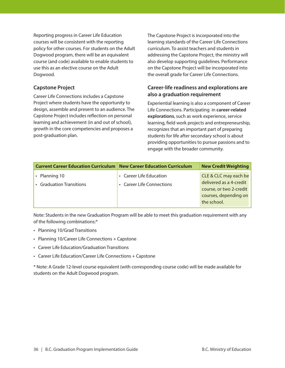Reporting progress in Career Life Education courses will be consistent with the reporting policy for other courses. For students on the Adult Dogwood program, there will be an equivalent course (and code) available to enable students to use this as an elective course on the Adult Dogwood.

#### **Capstone Project**

Career Life Connections includes a Capstone Project where students have the opportunity to design, assemble and present to an audience. The Capstone Project includes reflection on personal learning and achievement (in and out of school), growth in the core competencies and proposes a post-graduation plan.

The Capstone Project is incorporated into the learning standards of the Career Life Connections curriculum. To assist teachers and students in addressing the Capstone Project, the ministry will also develop supporting guidelines. Performance on the Capstone Project will be incorporated into the overall grade for Career Life Connections.

#### **Career-life readiness and explorations are also a graduation requirement**

Experiential learning is also a component of Career Life Connections. Participating in **career-related explorations**, such as work experience, service learning, field work projects and entrepreneurship, recognizes that an important part of preparing students for life after secondary school is about providing opportunities to pursue passions and to engage with the broader community.

| <b>Current Career Education Curriculum   New Career Education Curriculum</b> |                                                      | <b>New Credit Weighting</b>                                                                                         |
|------------------------------------------------------------------------------|------------------------------------------------------|---------------------------------------------------------------------------------------------------------------------|
| $\cdot$ Planning 10<br>$\cdot$ Graduation Transitions                        | • Career Life Education<br>• Career Life Connections | CLE & CLC may each be<br>delivered as a 4-credit<br>course, or two 2-credit<br>courses, depending on<br>the school. |

Note: Students in the new Graduation Program will be able to meet this graduation requirement with any of the following combinations:\*

- Planning 10/Grad Transitions
- Planning 10/Career Life Connections + Capstone
- Career Life Education/Graduation Transitions
- Career Life Education/Career Life Connections + Capstone

\* Note: A Grade 12-level course equivalent (with corresponding course code) will be made available for students on the Adult Dogwood program.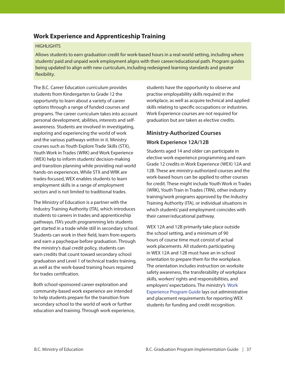# <span id="page-42-0"></span>**Work Experience and Apprenticeship Training**

#### **HIGHLIGHTS**

Allows students to earn graduation credit for work-based hours in a real-world setting, including where students' paid and unpaid work employment aligns with their career/educational path. Program guides being updated to align with new curriculum, including redesigned learning standards and greater flexibility.

The B.C. Career Education curriculum provides students from Kindergarten to Grade 12 the opportunity to learn about a variety of career options through a range of funded courses and programs. The career curriculum takes into account personal development, abilities, interests and selfawareness. Students are involved in investigating, exploring and experiencing the world of work and the various pathways within in it. Ministry courses such as Youth Explore Trade Skills (STX), Youth Work in Trades (WRK) and Work Experience (WEX) help to inform students' decision-making and transition planning while providing real-world hands-on experiences. While STX and WRK are trades-focused, WEX enables students to learn employment skills in a range of employment sectors and is not limited to traditional trades.

The Ministry of Education is a partner with the Industry Training Authority (ITA), which introduces students to careers in trades and apprenticeship pathways. ITA's youth programming lets students get started in a trade while still in secondary school. Students can work in their field, learn from experts and earn a paycheque before graduation. Through the ministry's dual credit policy, students can earn credits that count toward secondary school graduation and Level 1 of technical trades training, as well as the work-based training hours required for trades certification.

Both school-sponsored career exploration and community-based work experience are intended to help students prepare for the transition from secondary school to the world of work or further education and training. Through work experience, students have the opportunity to observe and practise employability skills required in the workplace, as well as acquire technical and applied skills relating to specific occupations or industries. Work Experience courses are not required for graduation but are taken as elective credits.

### **Ministry-Authorized Courses**

#### **Work Experience 12A/12B**

Students aged 14 and older can participate in elective work experience programming and earn Grade 12 credits in Work Experience (WEX) 12A and 12B. These are ministry-authorized courses and the work-based hours can be applied to other courses for credit. These might include Youth Work in Trades (WRK), Youth Train in Trades (TRN), other industry training/work programs approved by the Industry Training Authority (ITA), or individual situations in which students' paid employment coincides with their career/educational pathway.

WEX 12A and 12B primarily take place outside the school setting, and a minimum of 90 hours of course time must consist of actual work placements. All students participating in WEX 12A and 12B must have an in-school orientation to prepare them for the workplace. The orientation includes instruction on worksite safety awareness, the transferability of workplace skills, workers' rights and responsibilities, and employers' expectations. The ministry's Work Experience Program Guide lays out administrative and placement requirements for reporting WEX students for funding and credit recognition.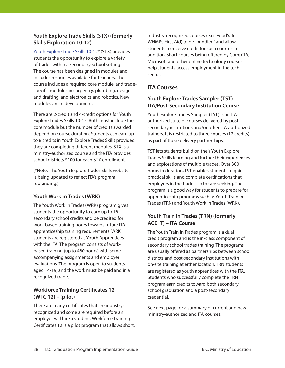### **Youth Explore Trade Skills (STX) (formerly Skills Exploration 10-12)**

[Youth Explore Trade Skills 10-12](https://mytrainingbc.ca/skills-exploration/dwnld/Backgrounder.pdf)\* (STX) provides students the opportunity to explore a variety of trades within a secondary school setting. The course has been designed in modules and includes resources available for teachers. The course includes a required core module, and tradespecific modules in carpentry, plumbing, design and drafting, and electronics and robotics. New modules are in development.

There are 2-credit and 4-credit options for Youth Explore Trades Skills 10-12. Both must include the core module but the number of credits awarded depend on course duration. Students can earn up to 8 credits in Youth Explore Trades Skills provided they are completing different modules. STX is a ministry-authorized course and the ITA provides school districts \$100 for each STX enrollment.

(\*Note: The Youth Explore Trades Skills website is being updated to reflect ITA's program rebranding.)

#### **Youth Work in Trades (WRK)**

The Youth Work in Trades (WRK) program gives students the opportunity to earn up to 16 secondary school credits and be credited for work-based training hours towards future ITA apprenticeship training requirements. WRK students are registered as Youth Apprentices with the ITA. The program consists of workbased training (up to 480 hours) with some accompanying assignments and employer evaluations. The program is open to students aged 14-19, and the work must be paid and in a recognized trade.

### **Workforce Training Certificates 12 (WTC 12) – (pilot)**

There are many certificates that are industryrecognized and some are required before an employer will hire a student. Workforce Training Certificates 12 is a pilot program that allows short,

industry-recognized courses (e.g., FoodSafe, WHMIS, First Aid) to be "bundled" and allow students to receive credit for such courses. In addition, short courses being offered by CompTIA, Microsoft and other online technology courses help students access employment in the tech sector.

### **ITA Courses**

### **Youth Explore Trades Sampler (TST) – ITA/Post-Secondary Institution Course**

Youth Explore Trades Sampler (TST) is an ITAauthorized suite of courses delivered by postsecondary institutions and/or other ITA-authorized trainers. It is restricted to three courses (12 credits) as part of these delivery partnerships.

TST lets students build on their Youth Explore Trades Skills learning and further their experiences and explorations of multiple trades. Over 300 hours in duration, TST enables students to gain practical skills and complete certifications that employers in the trades sector are seeking. The program is a good way for students to prepare for apprenticeship programs such as Youth Train in Trades (TRN) and Youth Work in Trades (WRK).

### **Youth Train in Trades (TRN) (formerly ACE IT) – ITA Course**

The Youth Train in Trades program is a dual credit program and is the in-class component of secondary school trades training. The programs are usually offered as partnerships between school districts and post-secondary institutions with on-site training at either location. TRN students are registered as youth apprentices with the ITA. Students who successfully complete the TRN program earn credits toward both secondary school graduation and a post-secondary credential.

See next page for a summary of current and new ministry-authorized and ITA courses.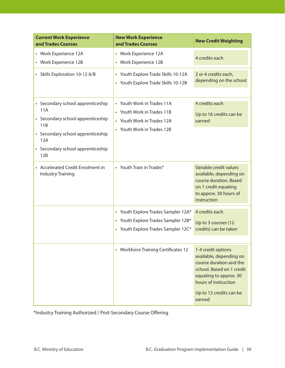| <b>Current Work Experience</b><br>and Trades Courses                                                                                                                         | <b>New Work Experience</b><br>and Trades Courses                                                                                | <b>New Credit Weighting</b>                                                                                                                                                                  |
|------------------------------------------------------------------------------------------------------------------------------------------------------------------------------|---------------------------------------------------------------------------------------------------------------------------------|----------------------------------------------------------------------------------------------------------------------------------------------------------------------------------------------|
| • Work Experience 12A<br>• Work Experience 12B                                                                                                                               | • Work Experience 12A<br>• Work Experience 12B                                                                                  | 4 credits each                                                                                                                                                                               |
| • Skills Exploration 10-12 A/B                                                                                                                                               | • Youth Explore Trade Skills 10-12A<br>Youth Explore Trade Skills 10-12B<br>$\bullet$                                           | 2 or 4 credits each,<br>depending on the school                                                                                                                                              |
| • Secondary school apprenticeship<br>11A<br>• Secondary school apprenticeship<br>11B<br>• Secondary school apprenticeship<br>12A<br>• Secondary school apprenticeship<br>12B | • Youth Work in Trades 11A<br>• Youth Work in Trades 11B<br>• Youth Work in Trades 12A<br>• Youth Work in Trades 12B            | 4 credits each<br>Up to 16 credits can be<br>earned                                                                                                                                          |
| • Accelerated Credit Enrolment in<br><b>Industry Training</b>                                                                                                                | • Youth Train in Trades*                                                                                                        | Variable credit values<br>available, depending on<br>course duration. Based<br>on 1 credit equating<br>to approx. 30 hours of<br>instruction                                                 |
|                                                                                                                                                                              | Youth Explore Trades Sampler 12A*<br>$\bullet$<br>Youth Explore Trades Sampler 12B*<br>٠<br>• Youth Explore Trades Sampler 12C* | 4 credits each<br>Up to 3 courses (12<br>credits) can be taken                                                                                                                               |
|                                                                                                                                                                              | • Workforce Training Certificates 12                                                                                            | 1-4 credit options<br>available, depending on<br>course duration and the<br>school. Based on 1 credit<br>equating to approx. 30<br>hours of instruction<br>Up to 12 credits can be<br>earned |

\*Industry Training Authorized / Post-Secondary Course Offering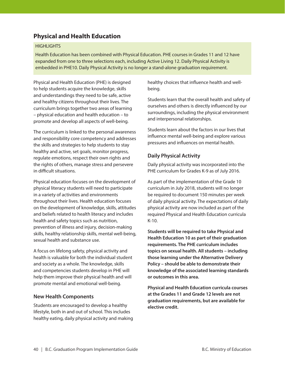# <span id="page-45-0"></span>**Physical and Health Education**

#### **HIGHLIGHTS**

Health Education has been combined with Physical Education. PHE courses in Grades 11 and 12 have expanded from one to three selections each, including Active Living 12. Daily Physical Activity is embedded in PHE10. Daily Physical Activity is no longer a stand-alone graduation requirement.

Physical and Health Education (PHE) is designed to help students acquire the knowledge, skills and understandings they need to be safe, active and healthy citizens throughout their lives. The curriculum brings together two areas of learning – physical education and health education – to promote and develop all aspects of well-being.

The curriculum is linked to the personal awareness and responsibility core competency and addresses the skills and strategies to help students to stay healthy and active, set goals, monitor progress, regulate emotions, respect their own rights and the rights of others, manage stress and persevere in difficult situations.

Physical education focuses on the development of physical literacy students will need to participate in a variety of activities and environments throughout their lives. Health education focuses on the development of knowledge, skills, attitudes and beliefs related to health literacy and includes health and safety topics such as nutrition, prevention of illness and injury, decision-making skills, healthy relationship skills, mental well-being, sexual health and substance use.

A focus on lifelong safety, physical activity and health is valuable for both the individual student and society as a whole. The knowledge, skills and competencies students develop in PHE will help them improve their physical health and will promote mental and emotional well-being.

#### **New Health Components**

Students are encouraged to develop a healthy lifestyle, both in and out of school. This includes healthy eating, daily physical activity and making healthy choices that influence health and wellbeing.

Students learn that the overall health and safety of ourselves and others is directly influenced by our surroundings, including the physical environment and interpersonal relationships.

Students learn about the factors in our lives that influence mental well-being and explore various pressures and influences on mental health.

#### **Daily Physical Activity**

Daily physical activity was incorporated into the PHE curriculum for Grades K-9 as of July 2016.

As part of the implementation of the Grade 10 curriculum in July 2018, students will no longer be required to document 150 minutes per week of daily physical activity. The expectations of daily physical activity are now included as part of the required Physical and Health Education curricula K-10.

**Students will be required to take Physical and Health Education 10 as part of their graduation requirements. The PHE curriculum includes topics on sexual health. All students – including those learning under the Alternative Delivery Policy – should be able to demonstrate their knowledge of the associated learning standards or outcomes in this area.** 

**Physical and Health Education curricula courses at the Grades 11 and Grade 12 levels are not graduation requirements, but are available for elective credit.**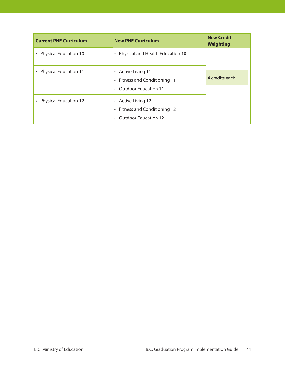| <b>Current PHE Curriculum</b>             | <b>New PHE Curriculum</b>                                                                       | <b>New Credit</b><br><b>Weighting</b> |
|-------------------------------------------|-------------------------------------------------------------------------------------------------|---------------------------------------|
| <b>Physical Education 10</b><br>$\bullet$ | • Physical and Health Education 10                                                              |                                       |
| <b>Physical Education 11</b>              | • Active Living 11<br>• Fitness and Conditioning 11<br><b>Outdoor Education 11</b><br>$\bullet$ | 4 credits each                        |
| <b>Physical Education 12</b>              | • Active Living 12<br>• Fitness and Conditioning 12<br><b>Outdoor Education 12</b><br>$\bullet$ |                                       |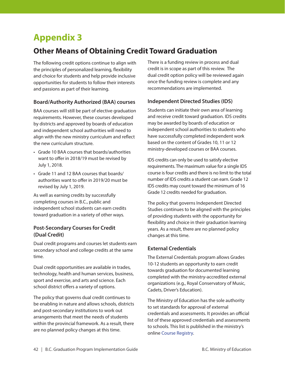# <span id="page-47-0"></span>**Appendix 3**

# **Other Means of Obtaining Credit Toward Graduation**

The following credit options continue to align with the principles of personalized learning, flexibility and choice for students and help provide inclusive opportunities for students to follow their interests and passions as part of their learning.

#### **Board/Authority Authorized (BAA) courses**

BAA courses will still be part of elective graduation requirements. However, these courses developed by districts and approved by boards of education and independent school authorities will need to align with the new ministry curriculum and reflect the new curriculum structure.

- Grade 10 BAA courses that boards/authorities want to offer in 2018/19 must be revised by July 1, 2018.
- Grade 11 and 12 BAA courses that boards/ authorities want to offer in 2019/20 must be revised by July 1, 2019.

As well as earning credits by successfully completing courses in B.C., public and independent school students can earn credits toward graduation in a variety of other ways.

#### **Post-Secondary Courses for Credit (Dual Credit)**

Dual credit programs and courses let students earn secondary school and college credits at the same time.

Dual credit opportunities are available in trades, technology, health and human services, business, sport and exercise, and arts and science. Each school district offers a variety of options.

The policy that governs dual credit continues to be enabling in nature and allows schools, districts and post-secondary institutions to work out arrangements that meet the needs of students within the provincial framework. As a result, there are no planned policy changes at this time.

There is a funding review in process and dual credit is in scope as part of this review. The dual credit option policy will be reviewed again once the funding review is complete and any recommendations are implemented.

### **Independent Directed Studies (IDS)**

Students can initiate their own area of learning and receive credit toward graduation. IDS credits may be awarded by boards of education or independent school authorities to students who have successfully completed independent work based on the content of Grades 10, 11 or 12 ministry-developed courses or BAA courses.

IDS credits can only be used to satisfy elective requirements. The maximum value for a single IDS course is four credits and there is no limit to the total number of IDS credits a student can earn. Grade 12 IDS credits may count toward the minimum of 16 Grade 12 credits needed for graduation.

The policy that governs Independent Directed Studies continues to be aligned with the principles of providing students with the opportunity for flexibility and choice in their graduation learning years. As a result, there are no planned policy changes at this time.

#### **External Credentials**

The External Credentials program allows Grades 10-12 students an opportunity to earn credit towards graduation for documented learning completed with the ministry-accredited external organizations (e.g., Royal Conservatory of Music, Cadets, Driver's Education).

The Ministry of Education has the sole authority to set standards for approval of external credentials and assessments. It provides an official list of these approved credentials and assessments to schools. This list is published in the ministry's online [Course Registry.](http://www.bced.gov.bc.ca/datacollections/course_registry_web_search/search-home.en.php)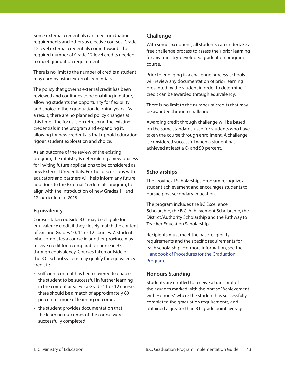Some external credentials can meet graduation requirements and others as elective courses. Grade 12 level external credentials count towards the required number of Grade 12 level credits needed to meet graduation requirements.

There is no limit to the number of credits a student may earn by using external credentials.

The policy that governs external credit has been reviewed and continues to be enabling in nature, allowing students the opportunity for flexibility and choice in their graduation learning years. As a result, there are no planned policy changes at this time. The focus is on refreshing the existing credentials in the program and expanding it, allowing for new credentials that uphold education rigour, student exploration and choice.

As an outcome of the review of the existing program, the ministry is determining a new process for inviting future applications to be considered as new External Credentials. Further discussions with educators and partners will help inform any future additions to the External Credentials program, to align with the introduction of new Grades 11 and 12 curriculum in 2019.

#### **Equivalency**

Courses taken outside B.C. may be eligible for equivalency credit if they closely match the content of existing Grades 10, 11 or 12 courses. A student who completes a course in another province may receive credit for a comparable course in B.C. through equivalency. Courses taken outside of the B.C. school system may qualify for equivalency credit if:

- sufficient content has been covered to enable the student to be successful in further learning in the content area. For a Grade 11 or 12 course, there should be a match of approximately 80 percent or more of learning outcomes
- the student provides documentation that the learning outcomes of the course were successfully completed

#### **Challenge**

With some exceptions, all students can undertake a free challenge process to assess their prior learning for any ministry-developed graduation program course.

Prior to engaging in a challenge process, schools will review any documentation of prior learning presented by the student in order to determine if credit can be awarded through equivalency.

There is no limit to the number of credits that may be awarded through challenge.

Awarding credit through challenge will be based on the same standards used for students who have taken the course through enrollment. A challenge is considered successful when a student has achieved at least a C- and 50 percent.

#### **Scholarships**

The Provincial Scholarships program recognizes student achievement and encourages students to pursue post-secondary education.

The program includes the BC Excellence Scholarship, the B.C. Achievement Scholarship, the District/Authority Scholarship and the Pathway to Teacher Education Scholarship.

Recipients must meet the basic eligibility requirements and the specific requirements for each scholarship. For more information, see the [Handbook of Procedures for the Graduation](https://www2.gov.bc.ca/assets/gov/education/administration/kindergarten-to-grade-12/graduation/handbook_of_procedures.pdf)  [Program.](https://www2.gov.bc.ca/assets/gov/education/administration/kindergarten-to-grade-12/graduation/handbook_of_procedures.pdf)

#### **Honours Standing**

Students are entitled to receive a transcript of their grades marked with the phrase "Achievement with Honours" where the student has successfully completed the graduation requirements, and obtained a greater than 3.0 grade point average.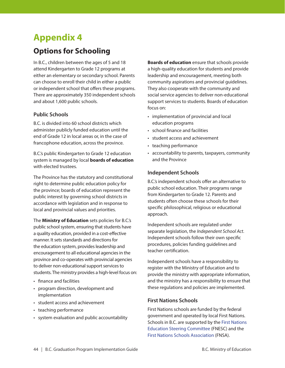# <span id="page-49-0"></span>**Appendix 4**

# **Options for Schooling**

In B.C., children between the ages of 5 and 18 attend Kindergarten to Grade 12 programs at either an elementary or secondary school. Parents can choose to enroll their child in either a public or independent school that offers these programs. There are approximately 350 independent schools and about 1,600 public schools.

#### **Public Schools**

B.C. is divided into 60 school districts which administer publicly funded education until the end of Grade 12 in local areas or, in the case of francophone education, across the province.

B.C.'s public Kindergarten to Grade 12 education system is managed by local **boards of education** with elected trustees.

The Province has the statutory and constitutional right to determine public education policy for the province; boards of education represent the public interest by governing school districts in accordance with legislation and in response to local and provincial values and priorities.

The **Ministry of Education** sets policies for B.C.'s public school system, ensuring that students have a quality education, provided in a cost-effective manner. It sets standards and directions for the education system, provides leadership and encouragement to all educational agencies in the province and co-operates with provincial agencies to deliver non-educational support services to students. The ministry provides a high-level focus on:

- finance and facilities
- program direction, development and implementation
- student access and achievement
- teaching performance
- system evaluation and public accountability

**Boards of education** ensure that schools provide a high-quality education for students and provide leadership and encouragement, meeting both community aspirations and provincial guidelines. They also cooperate with the community and social service agencies to deliver non-educational support services to students. Boards of education focus on:

- implementation of provincial and local education programs
- school finance and facilities
- student access and achievement
- teaching performance
- accountability to parents, taxpayers, community and the Province

#### **Independent Schools**

B.C.'s independent schools offer an alternative to public school education. Their programs range from Kindergarten to Grade 12. Parents and students often choose these schools for their specific philosophical, religious or educational approach.

Independent schools are regulated under separate legislation, the *Independent School Act*. Independent schools follow their own specific procedures, policies funding guidelines and teacher certification.

Independent schools have a responsibility to register with the Ministry of Education and to provide the ministry with appropriate information, and the ministry has a responsibility to ensure that these regulations and policies are implemented.

#### **First Nations Schools**

First Nations schools are funded by the federal government and operated by local First Nations. Schools in B.C. are supported by the [First Nations](http://www.fnesc.ca)  [Education Steering Committee](http://www.fnesc.ca) (FNESC) and the [First Nations Schools Association](http://www.fnsa.ca/) (FNSA).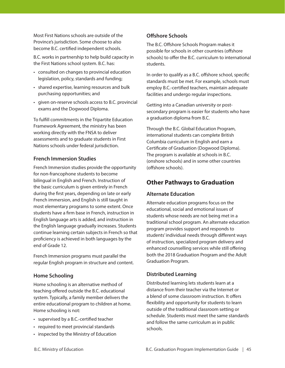<span id="page-50-0"></span>Most First Nations schools are outside of the Province's jurisdiction. Some choose to also become B.C. certified independent schools.

B.C. works in partnership to help build capacity in the First Nations school system. B.C. has:

- consulted on changes to provincial education legislation, policy, standards and funding;
- shared expertise, learning resources and bulk purchasing opportunities; and
- given on-reserve schools access to B.C. provincial exams and the Dogwood Diploma.

To fulfill commitments in the Tripartite Education Framework Agreement, the ministry has been working directly with the FNSA to deliver assessments and to graduate students in First Nations schools under federal jurisdiction.

#### **French Immersion Studies**

French Immersion studies provide the opportunity for non-francophone students to become bilingual in English and French. Instruction of the basic curriculum is given entirely in French during the first years, depending on late or early French immersion, and English is still taught in most elementary programs to some extent. Once students have a firm base in French, instruction in English language arts is added, and instruction in the English language gradually increases. Students continue learning certain subjects in French so that proficiency is achieved in both languages by the end of Grade 12.

French Immersion programs must parallel the regular English program in structure and content.

#### **Home Schooling**

Home schooling is an alternative method of teaching offered outside the B.C. educational system. Typically, a family member delivers the entire educational program to children at home. Home schooling is not:

- supervised by a B.C.-certified teacher
- required to meet provincial standards
- inspected by the Ministry of Education

#### **Offshore Schools**

The B.C. Offshore Schools Program makes it possible for schools in other countries (offshore schools) to offer the B.C. curriculum to international students.

In order to qualify as a B.C. offshore school, specific standards must be met. For example, schools must employ B.C.-certified teachers, maintain adequate facilities and undergo regular inspections.

Getting into a Canadian university or postsecondary program is easier for students who have a graduation diploma from B.C.

Through the B.C. Global Education Program, international students can complete British Columbia curriculum in English and earn a Certificate of Graduation (Dogwood Diploma). The program is available at schools in B.C. (onshore schools) and in some other countries (offshore schools).

### **Other Pathways to Graduation**

#### **Alternate Education**

Alternate education programs focus on the educational, social and emotional issues of students whose needs are not being met in a traditional school program. An alternate education program provides support and responds to students' individual needs through different ways of instruction, specialized program delivery and enhanced counselling services while still offering both the 2018 Graduation Program and the Adult Graduation Program.

#### **Distributed Learning**

Distributed learning lets students learn at a distance from their teacher via the Internet or a blend of some classroom instruction. It offers flexibility and opportunity for students to learn outside of the traditional classroom setting or schedule. Students must meet the same standards and follow the same curriculum as in public schools.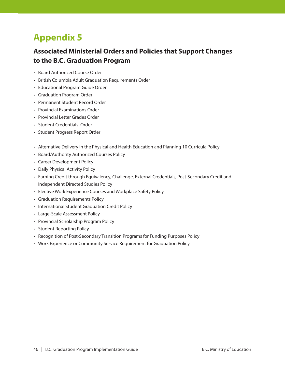# <span id="page-51-0"></span>**Appendix 5**

# **Associated Ministerial Orders and Policies that Support Changes to the B.C. Graduation Program**

- [Board Authorized Course Order](https://www2.gov.bc.ca/gov/content/education-training/administration/legislation-policy/manual-of-school-law/school-act-ministerial-orders)
- [British Columbia Adult Graduation Requirements Order](http://www.bclaws.ca/civix/document/id/mo/mo/2015_m065)
- [Educational Program Guide Order](https://www2.gov.bc.ca/assets/gov/education/administration/legislation-policy/legislation/schoollaw/e/m333_99.pdf)
- [Graduation Program Order](https://www2.gov.bc.ca/assets/gov/education/administration/legislation-policy/legislation/schoollaw/e/m302_04.pdf)
- [Permanent Student Record Order](https://www2.gov.bc.ca/gov/content/education-training/administration/kindergarten-to-grade-12/assessment/classroom/permanent-student-record)
- [Provincial Examinations Order](https://www2.gov.bc.ca/assets/gov/education/administration/legislation-policy/legislation/schoollaw/e/m410_04.pdf)
- [Provincial Letter Grades Order](https://www2.gov.bc.ca/assets/gov/education/administration/legislation-policy/legislation/schoollaw/e/m192_94.pdf)
- [Student Credentials Order](https://www2.gov.bc.ca/assets/gov/education/administration/legislation-policy/legislation/schoollaw/e/m164_96.pdf)
- [Student Progress Report Order](https://www2.gov.bc.ca/assets/gov/education/administration/legislation-policy/legislation/schoollaw/e/m191_94.pdf)
- [Alternative Delivery in the Physical and Health Education and Planning 10 Curricula Policy](https://www2.gov.bc.ca/gov/content/education-training/administration/legislation-policy/public-schools/alternative-delivery-in-the-physical-and-health-curriculum)
- [Board/Authority Authorized Courses Policy](https://www2.gov.bc.ca/assets/gov/education/kindergarten-to.../baa_requirements.pdf)
- [Career Development Policy](https://www2.gov.bc.ca/gov/content/education-training/administration/legislation-policy/public-schools/career-development)
- [Daily Physical Activity Policy](https://www2.gov.bc.ca/gov/content/education-training/administration/legislation-policy/public-schools/daily-physical-activity)
- [Earning Credit through Equivalency, Challenge, External Credentials, Post-Secondary Credit and](https://www2.gov.bc.ca/gov/content/education-training/administration/legislation-policy/public-schools/earning-credit-through-equivalency-challenge-external-credentials-post-secondary-credit-and-independent-directed-studies) [Independent Directed Studies Policy](https://www2.gov.bc.ca/gov/content/education-training/administration/legislation-policy/public-schools/earning-credit-through-equivalency-challenge-external-credentials-post-secondary-credit-and-independent-directed-studies)
- [Elective Work Experience Courses and Workplace Safety Policy](https://www2.gov.bc.ca/gov/content/education-training/administration/legislation-policy/public-schools/elective-work-experience-courses-and-workplace-safety-policy)
- [Graduation Requirements Policy](https://www2.gov.bc.ca/gov/content/education-training/administration/legislation-policy/public-schools/graduation-requirements)
- [International Student Graduation Credit Policy](https://www2.gov.bc.ca/gov/content/education-training/administration/legislation-policy/public-schools/international-student-graduation-credit?keyword=international&keyword=student&keyword=graduation&keyword=credit&keyword=policy)
- [Large-Scale Assessment Policy](https://www2.gov.bc.ca/gov/content/education-training/administration/legislation-policy/public-schools/large-scale-assessment)
- [Provincial Scholarship Program Policy](https://www2.gov.bc.ca/gov/content/education-training/administration/legislation-policy/public-schools/provincial-awards-program)
- [Student Reporting Policy](https://www2.gov.bc.ca/gov/content/education-training/administration/legislation-policy/public-schools/student-reporting)
- [Recognition of Post-Secondary Transition Programs for Funding Purposes](https://www2.gov.bc.ca/gov/content/education-training/administration/legislation-policy/public-schools/recognition-of-post-secondary-transition-programs-for-funding-purposes) Policy
- [Work Experience or Community Service Requirement for Graduation Policy](https://www2.gov.bc.ca/gov/content/education-training/administration/legislation-policy/public-schools/work-experience-or-community-service-requirement-for-graduation)